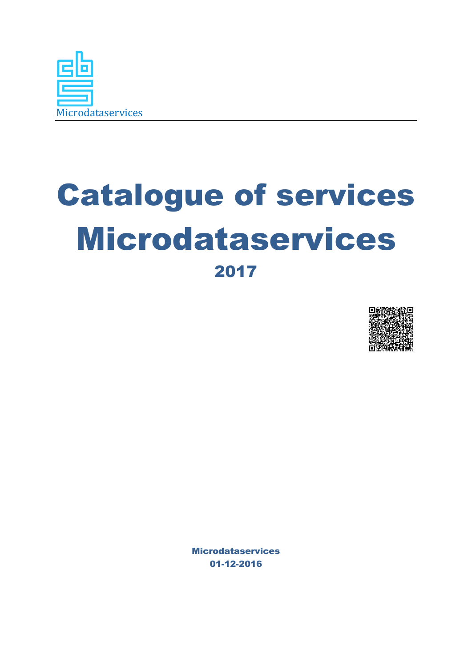

# Catalogue of services Microdataservices 2017



Microdataservices 01-12-2016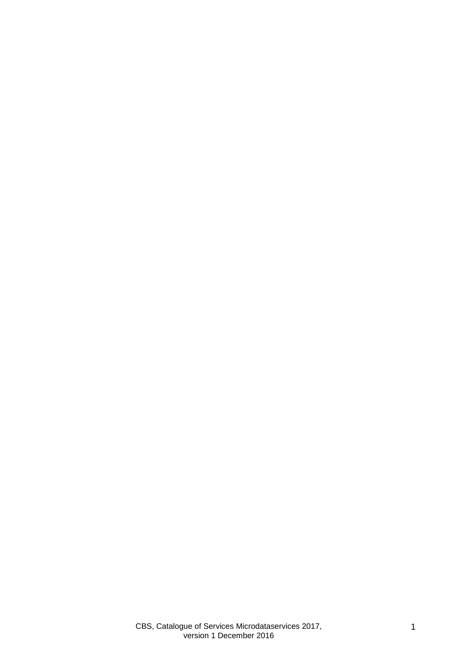CBS, Catalogue of Services Microdataservices 2017, version 1 December 2016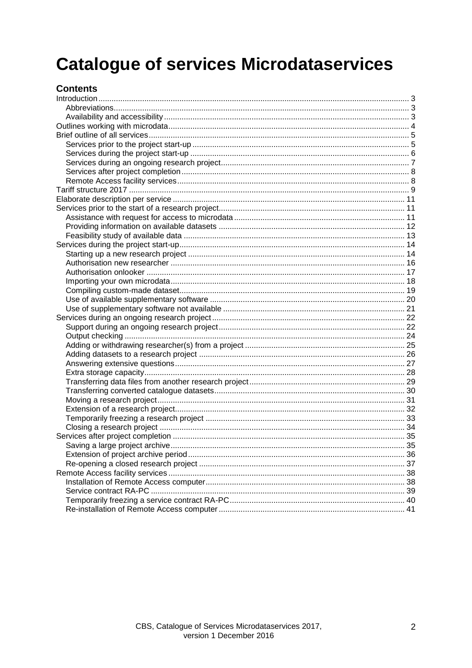# **Catalogue of services Microdataservices**

#### **Contents**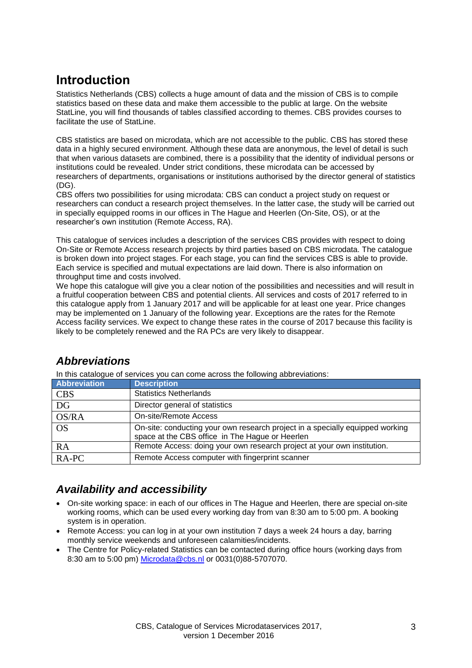### <span id="page-3-0"></span>**Introduction**

Statistics Netherlands (CBS) collects a huge amount of data and the mission of CBS is to compile statistics based on these data and make them accessible to the public at large. On the website StatLine, you will find thousands of tables classified according to themes. CBS provides courses to facilitate the use of StatLine.

CBS statistics are based on microdata, which are not accessible to the public. CBS has stored these data in a highly secured environment. Although these data are anonymous, the level of detail is such that when various datasets are combined, there is a possibility that the identity of individual persons or institutions could be revealed. Under strict conditions, these microdata can be accessed by researchers of departments, organisations or institutions authorised by the director general of statistics (DG).

CBS offers two possibilities for using microdata: CBS can conduct a project study on request or researchers can conduct a research project themselves. In the latter case, the study will be carried out in specially equipped rooms in our offices in The Hague and Heerlen (On-Site, OS), or at the researcher's own institution (Remote Access, RA).

This catalogue of services includes a description of the services CBS provides with respect to doing On-Site or Remote Access research projects by third parties based on CBS microdata. The catalogue is broken down into project stages. For each stage, you can find the services CBS is able to provide. Each service is specified and mutual expectations are laid down. There is also information on throughput time and costs involved.

We hope this catalogue will give you a clear notion of the possibilities and necessities and will result in a fruitful cooperation between CBS and potential clients. All services and costs of 2017 referred to in this catalogue apply from 1 January 2017 and will be applicable for at least one year. Price changes may be implemented on 1 January of the following year. Exceptions are the rates for the Remote Access facility services. We expect to change these rates in the course of 2017 because this facility is likely to be completely renewed and the RA PCs are very likely to disappear.

### <span id="page-3-1"></span>*Abbreviations*

In this catalogue of services you can come across the following abbreviations:

| <b>Abbreviation</b> | <b>Description</b>                                                                                                               |
|---------------------|----------------------------------------------------------------------------------------------------------------------------------|
| <b>CBS</b>          | <b>Statistics Netherlands</b>                                                                                                    |
| DG                  | Director general of statistics                                                                                                   |
| OS/RA               | On-site/Remote Access                                                                                                            |
| <b>OS</b>           | On-site: conducting your own research project in a specially equipped working<br>space at the CBS office in The Hague or Heerlen |
| RA                  | Remote Access: doing your own research project at your own institution.                                                          |
| RA-PC               | Remote Access computer with fingerprint scanner                                                                                  |

### <span id="page-3-2"></span>*Availability and accessibility*

- On-site working space: in each of our offices in The Hague and Heerlen, there are special on-site working rooms, which can be used every working day from van 8:30 am to 5:00 pm. A booking system is in operation.
- Remote Access: you can log in at your own institution 7 days a week 24 hours a day, barring monthly service weekends and unforeseen calamities/incidents.
- The Centre for Policy-related Statistics can be contacted during office hours (working days from 8:30 am to 5:00 pm) [Microdata@cbs.nl](mailto:cvb@cbs.nl) or 0031(0)88-5707070.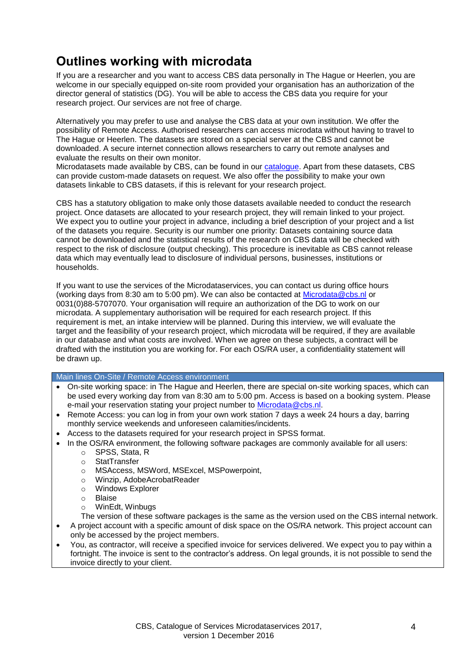### <span id="page-4-0"></span>**Outlines working with microdata**

If you are a researcher and you want to access CBS data personally in The Hague or Heerlen, you are welcome in our specially equipped on-site room provided your organisation has an authorization of the director general of statistics (DG). You will be able to access the CBS data you require for your research project. Our services are not free of charge.

Alternatively you may prefer to use and analyse the CBS data at your own institution. We offer the possibility of Remote Access. Authorised researchers can access microdata without having to travel to The Hague or Heerlen. The datasets are stored on a special server at the CBS and cannot be downloaded. A secure internet connection allows researchers to carry out remote analyses and evaluate the results on their own monitor.

Microdatasets made available by CBS, can be found in our [catalogue.](https://www.cbs.nl/en-gb/our-services/customised-services-microdata/microdata-conducting-your-own-research/microdata-catalogue) Apart from these datasets, CBS can provide custom-made datasets on request. We also offer the possibility to make your own datasets linkable to CBS datasets, if this is relevant for your research project.

CBS has a statutory obligation to make only those datasets available needed to conduct the research project. Once datasets are allocated to your research project, they will remain linked to your project. We expect you to outline your project in advance, including a brief description of your project and a list of the datasets you require. Security is our number one priority: Datasets containing source data cannot be downloaded and the statistical results of the research on CBS data will be checked with respect to the risk of disclosure (output checking). This procedure is inevitable as CBS cannot release data which may eventually lead to disclosure of individual persons, businesses, institutions or households.

If you want to use the services of the Microdataservices, you can contact us during office hours (working days from 8:30 am to 5:00 pm). We can also be contacted at [Microdata@cbs.nl](mailto:cvb@cbs.nl) or 0031(0)88-5707070. Your organisation will require an authorization of the DG to work on our microdata. A supplementary authorisation will be required for each research project. If this requirement is met, an intake interview will be planned. During this interview, we will evaluate the target and the feasibility of your research project, which microdata will be required, if they are available in our database and what costs are involved. When we agree on these subjects, a contract will be drafted with the institution you are working for. For each OS/RA user, a confidentiality statement will be drawn up.

#### Main lines On-Site / Remote Access environment

- On-site working space: in The Hague and Heerlen, there are special on-site working spaces, which can be used every working day from van 8:30 am to 5:00 pm. Access is based on a booking system. Please e-mail your reservation stating your project number to [Microdata@cbs.nl.](mailto:cvb@cbs.nl)
- Remote Access: you can log in from your own work station 7 days a week 24 hours a day, barring monthly service weekends and unforeseen calamities/incidents.
- Access to the datasets required for your research project in SPSS format.
	- In the OS/RA environment, the following software packages are commonly available for all users:
		- o SPSS, Stata, R
		- o StatTransfer
		- o MSAccess, MSWord, MSExcel, MSPowerpoint,
		- o Winzip, AdobeAcrobatReader
		- o Windows Explorer
		- o Blaise
		- WinEdt, Winbugs
- The version of these software packages is the same as the version used on the CBS internal network. A project account with a specific amount of disk space on the OS/RA network. This project account can only be accessed by the project members.
- You, as contractor, will receive a specified invoice for services delivered. We expect you to pay within a fortnight. The invoice is sent to the contractor's address. On legal grounds, it is not possible to send the invoice directly to your client.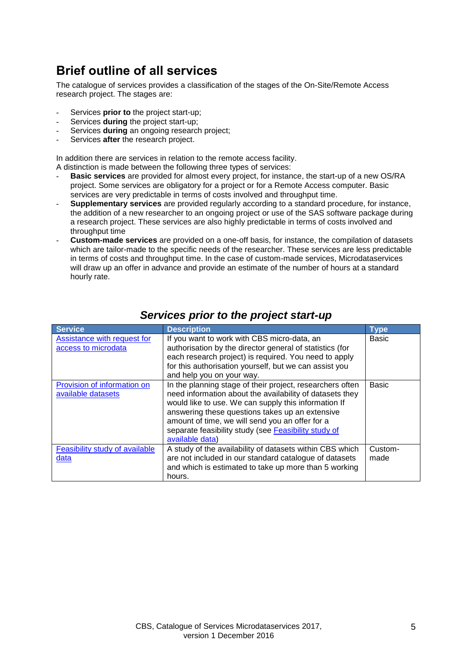### <span id="page-5-0"></span>**Brief outline of all services**

The catalogue of services provides a classification of the stages of the On-Site/Remote Access research project. The stages are:

- Services **prior to** the project start-up;
- Services **during** the project start-up;
- Services **during** an ongoing research project;
- Services **after** the research project.

In addition there are services in relation to the remote access facility.

A distinction is made between the following three types of services:

- **Basic services** are provided for almost every project, for instance, the start-up of a new OS/RA project. Some services are obligatory for a project or for a Remote Access computer. Basic services are very predictable in terms of costs involved and throughput time.
- **Supplementary services** are provided regularly according to a standard procedure, for instance, the addition of a new researcher to an ongoing project or use of the SAS software package during a research project. These services are also highly predictable in terms of costs involved and throughput time
- **Custom-made services** are provided on a one-off basis, for instance, the compilation of datasets which are tailor-made to the specific needs of the researcher. These services are less predictable in terms of costs and throughput time. In the case of custom-made services, Microdataservices will draw up an offer in advance and provide an estimate of the number of hours at a standard hourly rate.

<span id="page-5-1"></span>

| <b>Service</b>                                     | <b>Description</b>                                                                                                                                                                                                                                                                                                                                             | <b>Type</b>     |
|----------------------------------------------------|----------------------------------------------------------------------------------------------------------------------------------------------------------------------------------------------------------------------------------------------------------------------------------------------------------------------------------------------------------------|-----------------|
| Assistance with request for<br>access to microdata | If you want to work with CBS micro-data, an<br>authorisation by the director general of statistics (for<br>each research project) is required. You need to apply<br>for this authorisation yourself, but we can assist you<br>and help you on your way.                                                                                                        | Basic           |
| Provision of information on<br>available datasets  | In the planning stage of their project, researchers often<br>need information about the availability of datasets they<br>would like to use. We can supply this information If<br>answering these questions takes up an extensive<br>amount of time, we will send you an offer for a<br>separate feasibility study (see Feasibility study of<br>available data) | <b>Basic</b>    |
| Feasibility study of available<br>data             | A study of the availability of datasets within CBS which<br>are not included in our standard catalogue of datasets<br>and which is estimated to take up more than 5 working<br>hours.                                                                                                                                                                          | Custom-<br>made |

#### *Services prior to the project start-up*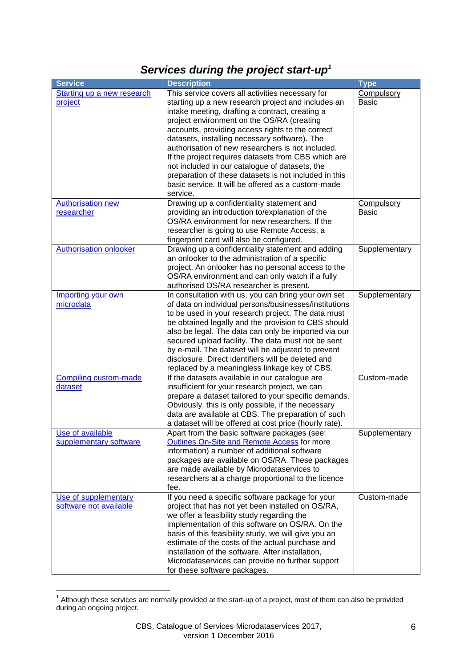### *Services during the project start-up<sup>1</sup>*

<span id="page-6-0"></span>

| This service covers all activities necessary for<br>Compulsory<br><b>Starting up a new research</b><br>project<br>starting up a new research project and includes an<br><b>Basic</b><br>intake meeting, drafting a contract, creating a<br>project environment on the OS/RA (creating<br>accounts, providing access rights to the correct<br>datasets, installing necessary software). The<br>authorisation of new researchers is not included.<br>If the project requires datasets from CBS which are<br>not included in our catalogue of datasets, the<br>preparation of these datasets is not included in this<br>basic service. It will be offered as a custom-made<br>service.<br>Drawing up a confidentiality statement and<br><b>Authorisation new</b><br>Compulsory<br>researcher<br>providing an introduction to/explanation of the<br><b>Basic</b><br>OS/RA environment for new researchers. If the<br>researcher is going to use Remote Access, a<br>fingerprint card will also be configured.<br>Supplementary<br><b>Authorisation onlooker</b><br>Drawing up a confidentiality statement and adding<br>an onlooker to the administration of a specific<br>project. An onlooker has no personal access to the<br>OS/RA environment and can only watch if a fully<br>authorised OS/RA researcher is present.<br>Importing your own<br>In consultation with us, you can bring your own set<br>Supplementary<br>of data on individual persons/businesses/institutions<br>microdata<br>to be used in your research project. The data must<br>be obtained legally and the provision to CBS should<br>also be legal. The data can only be imported via our<br>secured upload facility. The data must not be sent<br>by e-mail. The dataset will be adjusted to prevent<br>disclosure. Direct identifiers will be deleted and<br>replaced by a meaningless linkage key of CBS.<br>If the datasets available in our catalogue are<br><b>Compiling custom-made</b><br>Custom-made<br>dataset<br>insufficient for your research project, we can<br>prepare a dataset tailored to your specific demands.<br>Obviously, this is only possible, if the necessary<br>data are available at CBS. The preparation of such<br>a dataset will be offered at cost price (hourly rate).<br>Use of available<br>Apart from the basic software packages (see:<br>Supplementary<br>supplementary software<br>Outlines On-Site and Remote Access for more<br>information) a number of additional software<br>packages are available on OS/RA. These packages<br>are made available by Microdataservices to<br>researchers at a charge proportional to the licence<br>fee.<br>If you need a specific software package for your<br>Custom-made<br>Use of supplementary<br>software not available<br>project that has not yet been installed on OS/RA,<br>we offer a feasibility study regarding the<br>implementation of this software on OS/RA. On the<br>basis of this feasibility study, we will give you an<br>estimate of the costs of the actual purchase and<br>installation of the software. After installation, | <b>Service</b> | <b>Description</b>                               | <b>Type</b> |
|------------------------------------------------------------------------------------------------------------------------------------------------------------------------------------------------------------------------------------------------------------------------------------------------------------------------------------------------------------------------------------------------------------------------------------------------------------------------------------------------------------------------------------------------------------------------------------------------------------------------------------------------------------------------------------------------------------------------------------------------------------------------------------------------------------------------------------------------------------------------------------------------------------------------------------------------------------------------------------------------------------------------------------------------------------------------------------------------------------------------------------------------------------------------------------------------------------------------------------------------------------------------------------------------------------------------------------------------------------------------------------------------------------------------------------------------------------------------------------------------------------------------------------------------------------------------------------------------------------------------------------------------------------------------------------------------------------------------------------------------------------------------------------------------------------------------------------------------------------------------------------------------------------------------------------------------------------------------------------------------------------------------------------------------------------------------------------------------------------------------------------------------------------------------------------------------------------------------------------------------------------------------------------------------------------------------------------------------------------------------------------------------------------------------------------------------------------------------------------------------------------------------------------------------------------------------------------------------------------------------------------------------------------------------------------------------------------------------------------------------------------------------------------------------------------------------------------------------------------------------------------------------------------------------------------------------------------------------------------------------------------------------------------------------------------------------------------------------------------|----------------|--------------------------------------------------|-------------|
|                                                                                                                                                                                                                                                                                                                                                                                                                                                                                                                                                                                                                                                                                                                                                                                                                                                                                                                                                                                                                                                                                                                                                                                                                                                                                                                                                                                                                                                                                                                                                                                                                                                                                                                                                                                                                                                                                                                                                                                                                                                                                                                                                                                                                                                                                                                                                                                                                                                                                                                                                                                                                                                                                                                                                                                                                                                                                                                                                                                                                                                                                                            |                |                                                  |             |
|                                                                                                                                                                                                                                                                                                                                                                                                                                                                                                                                                                                                                                                                                                                                                                                                                                                                                                                                                                                                                                                                                                                                                                                                                                                                                                                                                                                                                                                                                                                                                                                                                                                                                                                                                                                                                                                                                                                                                                                                                                                                                                                                                                                                                                                                                                                                                                                                                                                                                                                                                                                                                                                                                                                                                                                                                                                                                                                                                                                                                                                                                                            |                |                                                  |             |
|                                                                                                                                                                                                                                                                                                                                                                                                                                                                                                                                                                                                                                                                                                                                                                                                                                                                                                                                                                                                                                                                                                                                                                                                                                                                                                                                                                                                                                                                                                                                                                                                                                                                                                                                                                                                                                                                                                                                                                                                                                                                                                                                                                                                                                                                                                                                                                                                                                                                                                                                                                                                                                                                                                                                                                                                                                                                                                                                                                                                                                                                                                            |                |                                                  |             |
|                                                                                                                                                                                                                                                                                                                                                                                                                                                                                                                                                                                                                                                                                                                                                                                                                                                                                                                                                                                                                                                                                                                                                                                                                                                                                                                                                                                                                                                                                                                                                                                                                                                                                                                                                                                                                                                                                                                                                                                                                                                                                                                                                                                                                                                                                                                                                                                                                                                                                                                                                                                                                                                                                                                                                                                                                                                                                                                                                                                                                                                                                                            |                |                                                  |             |
|                                                                                                                                                                                                                                                                                                                                                                                                                                                                                                                                                                                                                                                                                                                                                                                                                                                                                                                                                                                                                                                                                                                                                                                                                                                                                                                                                                                                                                                                                                                                                                                                                                                                                                                                                                                                                                                                                                                                                                                                                                                                                                                                                                                                                                                                                                                                                                                                                                                                                                                                                                                                                                                                                                                                                                                                                                                                                                                                                                                                                                                                                                            |                |                                                  |             |
|                                                                                                                                                                                                                                                                                                                                                                                                                                                                                                                                                                                                                                                                                                                                                                                                                                                                                                                                                                                                                                                                                                                                                                                                                                                                                                                                                                                                                                                                                                                                                                                                                                                                                                                                                                                                                                                                                                                                                                                                                                                                                                                                                                                                                                                                                                                                                                                                                                                                                                                                                                                                                                                                                                                                                                                                                                                                                                                                                                                                                                                                                                            |                |                                                  |             |
|                                                                                                                                                                                                                                                                                                                                                                                                                                                                                                                                                                                                                                                                                                                                                                                                                                                                                                                                                                                                                                                                                                                                                                                                                                                                                                                                                                                                                                                                                                                                                                                                                                                                                                                                                                                                                                                                                                                                                                                                                                                                                                                                                                                                                                                                                                                                                                                                                                                                                                                                                                                                                                                                                                                                                                                                                                                                                                                                                                                                                                                                                                            |                |                                                  |             |
|                                                                                                                                                                                                                                                                                                                                                                                                                                                                                                                                                                                                                                                                                                                                                                                                                                                                                                                                                                                                                                                                                                                                                                                                                                                                                                                                                                                                                                                                                                                                                                                                                                                                                                                                                                                                                                                                                                                                                                                                                                                                                                                                                                                                                                                                                                                                                                                                                                                                                                                                                                                                                                                                                                                                                                                                                                                                                                                                                                                                                                                                                                            |                |                                                  |             |
|                                                                                                                                                                                                                                                                                                                                                                                                                                                                                                                                                                                                                                                                                                                                                                                                                                                                                                                                                                                                                                                                                                                                                                                                                                                                                                                                                                                                                                                                                                                                                                                                                                                                                                                                                                                                                                                                                                                                                                                                                                                                                                                                                                                                                                                                                                                                                                                                                                                                                                                                                                                                                                                                                                                                                                                                                                                                                                                                                                                                                                                                                                            |                |                                                  |             |
|                                                                                                                                                                                                                                                                                                                                                                                                                                                                                                                                                                                                                                                                                                                                                                                                                                                                                                                                                                                                                                                                                                                                                                                                                                                                                                                                                                                                                                                                                                                                                                                                                                                                                                                                                                                                                                                                                                                                                                                                                                                                                                                                                                                                                                                                                                                                                                                                                                                                                                                                                                                                                                                                                                                                                                                                                                                                                                                                                                                                                                                                                                            |                |                                                  |             |
|                                                                                                                                                                                                                                                                                                                                                                                                                                                                                                                                                                                                                                                                                                                                                                                                                                                                                                                                                                                                                                                                                                                                                                                                                                                                                                                                                                                                                                                                                                                                                                                                                                                                                                                                                                                                                                                                                                                                                                                                                                                                                                                                                                                                                                                                                                                                                                                                                                                                                                                                                                                                                                                                                                                                                                                                                                                                                                                                                                                                                                                                                                            |                |                                                  |             |
|                                                                                                                                                                                                                                                                                                                                                                                                                                                                                                                                                                                                                                                                                                                                                                                                                                                                                                                                                                                                                                                                                                                                                                                                                                                                                                                                                                                                                                                                                                                                                                                                                                                                                                                                                                                                                                                                                                                                                                                                                                                                                                                                                                                                                                                                                                                                                                                                                                                                                                                                                                                                                                                                                                                                                                                                                                                                                                                                                                                                                                                                                                            |                |                                                  |             |
|                                                                                                                                                                                                                                                                                                                                                                                                                                                                                                                                                                                                                                                                                                                                                                                                                                                                                                                                                                                                                                                                                                                                                                                                                                                                                                                                                                                                                                                                                                                                                                                                                                                                                                                                                                                                                                                                                                                                                                                                                                                                                                                                                                                                                                                                                                                                                                                                                                                                                                                                                                                                                                                                                                                                                                                                                                                                                                                                                                                                                                                                                                            |                |                                                  |             |
|                                                                                                                                                                                                                                                                                                                                                                                                                                                                                                                                                                                                                                                                                                                                                                                                                                                                                                                                                                                                                                                                                                                                                                                                                                                                                                                                                                                                                                                                                                                                                                                                                                                                                                                                                                                                                                                                                                                                                                                                                                                                                                                                                                                                                                                                                                                                                                                                                                                                                                                                                                                                                                                                                                                                                                                                                                                                                                                                                                                                                                                                                                            |                |                                                  |             |
|                                                                                                                                                                                                                                                                                                                                                                                                                                                                                                                                                                                                                                                                                                                                                                                                                                                                                                                                                                                                                                                                                                                                                                                                                                                                                                                                                                                                                                                                                                                                                                                                                                                                                                                                                                                                                                                                                                                                                                                                                                                                                                                                                                                                                                                                                                                                                                                                                                                                                                                                                                                                                                                                                                                                                                                                                                                                                                                                                                                                                                                                                                            |                |                                                  |             |
|                                                                                                                                                                                                                                                                                                                                                                                                                                                                                                                                                                                                                                                                                                                                                                                                                                                                                                                                                                                                                                                                                                                                                                                                                                                                                                                                                                                                                                                                                                                                                                                                                                                                                                                                                                                                                                                                                                                                                                                                                                                                                                                                                                                                                                                                                                                                                                                                                                                                                                                                                                                                                                                                                                                                                                                                                                                                                                                                                                                                                                                                                                            |                |                                                  |             |
|                                                                                                                                                                                                                                                                                                                                                                                                                                                                                                                                                                                                                                                                                                                                                                                                                                                                                                                                                                                                                                                                                                                                                                                                                                                                                                                                                                                                                                                                                                                                                                                                                                                                                                                                                                                                                                                                                                                                                                                                                                                                                                                                                                                                                                                                                                                                                                                                                                                                                                                                                                                                                                                                                                                                                                                                                                                                                                                                                                                                                                                                                                            |                |                                                  |             |
|                                                                                                                                                                                                                                                                                                                                                                                                                                                                                                                                                                                                                                                                                                                                                                                                                                                                                                                                                                                                                                                                                                                                                                                                                                                                                                                                                                                                                                                                                                                                                                                                                                                                                                                                                                                                                                                                                                                                                                                                                                                                                                                                                                                                                                                                                                                                                                                                                                                                                                                                                                                                                                                                                                                                                                                                                                                                                                                                                                                                                                                                                                            |                |                                                  |             |
|                                                                                                                                                                                                                                                                                                                                                                                                                                                                                                                                                                                                                                                                                                                                                                                                                                                                                                                                                                                                                                                                                                                                                                                                                                                                                                                                                                                                                                                                                                                                                                                                                                                                                                                                                                                                                                                                                                                                                                                                                                                                                                                                                                                                                                                                                                                                                                                                                                                                                                                                                                                                                                                                                                                                                                                                                                                                                                                                                                                                                                                                                                            |                |                                                  |             |
|                                                                                                                                                                                                                                                                                                                                                                                                                                                                                                                                                                                                                                                                                                                                                                                                                                                                                                                                                                                                                                                                                                                                                                                                                                                                                                                                                                                                                                                                                                                                                                                                                                                                                                                                                                                                                                                                                                                                                                                                                                                                                                                                                                                                                                                                                                                                                                                                                                                                                                                                                                                                                                                                                                                                                                                                                                                                                                                                                                                                                                                                                                            |                |                                                  |             |
|                                                                                                                                                                                                                                                                                                                                                                                                                                                                                                                                                                                                                                                                                                                                                                                                                                                                                                                                                                                                                                                                                                                                                                                                                                                                                                                                                                                                                                                                                                                                                                                                                                                                                                                                                                                                                                                                                                                                                                                                                                                                                                                                                                                                                                                                                                                                                                                                                                                                                                                                                                                                                                                                                                                                                                                                                                                                                                                                                                                                                                                                                                            |                |                                                  |             |
|                                                                                                                                                                                                                                                                                                                                                                                                                                                                                                                                                                                                                                                                                                                                                                                                                                                                                                                                                                                                                                                                                                                                                                                                                                                                                                                                                                                                                                                                                                                                                                                                                                                                                                                                                                                                                                                                                                                                                                                                                                                                                                                                                                                                                                                                                                                                                                                                                                                                                                                                                                                                                                                                                                                                                                                                                                                                                                                                                                                                                                                                                                            |                |                                                  |             |
|                                                                                                                                                                                                                                                                                                                                                                                                                                                                                                                                                                                                                                                                                                                                                                                                                                                                                                                                                                                                                                                                                                                                                                                                                                                                                                                                                                                                                                                                                                                                                                                                                                                                                                                                                                                                                                                                                                                                                                                                                                                                                                                                                                                                                                                                                                                                                                                                                                                                                                                                                                                                                                                                                                                                                                                                                                                                                                                                                                                                                                                                                                            |                |                                                  |             |
|                                                                                                                                                                                                                                                                                                                                                                                                                                                                                                                                                                                                                                                                                                                                                                                                                                                                                                                                                                                                                                                                                                                                                                                                                                                                                                                                                                                                                                                                                                                                                                                                                                                                                                                                                                                                                                                                                                                                                                                                                                                                                                                                                                                                                                                                                                                                                                                                                                                                                                                                                                                                                                                                                                                                                                                                                                                                                                                                                                                                                                                                                                            |                |                                                  |             |
|                                                                                                                                                                                                                                                                                                                                                                                                                                                                                                                                                                                                                                                                                                                                                                                                                                                                                                                                                                                                                                                                                                                                                                                                                                                                                                                                                                                                                                                                                                                                                                                                                                                                                                                                                                                                                                                                                                                                                                                                                                                                                                                                                                                                                                                                                                                                                                                                                                                                                                                                                                                                                                                                                                                                                                                                                                                                                                                                                                                                                                                                                                            |                |                                                  |             |
|                                                                                                                                                                                                                                                                                                                                                                                                                                                                                                                                                                                                                                                                                                                                                                                                                                                                                                                                                                                                                                                                                                                                                                                                                                                                                                                                                                                                                                                                                                                                                                                                                                                                                                                                                                                                                                                                                                                                                                                                                                                                                                                                                                                                                                                                                                                                                                                                                                                                                                                                                                                                                                                                                                                                                                                                                                                                                                                                                                                                                                                                                                            |                |                                                  |             |
|                                                                                                                                                                                                                                                                                                                                                                                                                                                                                                                                                                                                                                                                                                                                                                                                                                                                                                                                                                                                                                                                                                                                                                                                                                                                                                                                                                                                                                                                                                                                                                                                                                                                                                                                                                                                                                                                                                                                                                                                                                                                                                                                                                                                                                                                                                                                                                                                                                                                                                                                                                                                                                                                                                                                                                                                                                                                                                                                                                                                                                                                                                            |                |                                                  |             |
|                                                                                                                                                                                                                                                                                                                                                                                                                                                                                                                                                                                                                                                                                                                                                                                                                                                                                                                                                                                                                                                                                                                                                                                                                                                                                                                                                                                                                                                                                                                                                                                                                                                                                                                                                                                                                                                                                                                                                                                                                                                                                                                                                                                                                                                                                                                                                                                                                                                                                                                                                                                                                                                                                                                                                                                                                                                                                                                                                                                                                                                                                                            |                |                                                  |             |
|                                                                                                                                                                                                                                                                                                                                                                                                                                                                                                                                                                                                                                                                                                                                                                                                                                                                                                                                                                                                                                                                                                                                                                                                                                                                                                                                                                                                                                                                                                                                                                                                                                                                                                                                                                                                                                                                                                                                                                                                                                                                                                                                                                                                                                                                                                                                                                                                                                                                                                                                                                                                                                                                                                                                                                                                                                                                                                                                                                                                                                                                                                            |                |                                                  |             |
|                                                                                                                                                                                                                                                                                                                                                                                                                                                                                                                                                                                                                                                                                                                                                                                                                                                                                                                                                                                                                                                                                                                                                                                                                                                                                                                                                                                                                                                                                                                                                                                                                                                                                                                                                                                                                                                                                                                                                                                                                                                                                                                                                                                                                                                                                                                                                                                                                                                                                                                                                                                                                                                                                                                                                                                                                                                                                                                                                                                                                                                                                                            |                |                                                  |             |
|                                                                                                                                                                                                                                                                                                                                                                                                                                                                                                                                                                                                                                                                                                                                                                                                                                                                                                                                                                                                                                                                                                                                                                                                                                                                                                                                                                                                                                                                                                                                                                                                                                                                                                                                                                                                                                                                                                                                                                                                                                                                                                                                                                                                                                                                                                                                                                                                                                                                                                                                                                                                                                                                                                                                                                                                                                                                                                                                                                                                                                                                                                            |                |                                                  |             |
|                                                                                                                                                                                                                                                                                                                                                                                                                                                                                                                                                                                                                                                                                                                                                                                                                                                                                                                                                                                                                                                                                                                                                                                                                                                                                                                                                                                                                                                                                                                                                                                                                                                                                                                                                                                                                                                                                                                                                                                                                                                                                                                                                                                                                                                                                                                                                                                                                                                                                                                                                                                                                                                                                                                                                                                                                                                                                                                                                                                                                                                                                                            |                |                                                  |             |
|                                                                                                                                                                                                                                                                                                                                                                                                                                                                                                                                                                                                                                                                                                                                                                                                                                                                                                                                                                                                                                                                                                                                                                                                                                                                                                                                                                                                                                                                                                                                                                                                                                                                                                                                                                                                                                                                                                                                                                                                                                                                                                                                                                                                                                                                                                                                                                                                                                                                                                                                                                                                                                                                                                                                                                                                                                                                                                                                                                                                                                                                                                            |                |                                                  |             |
|                                                                                                                                                                                                                                                                                                                                                                                                                                                                                                                                                                                                                                                                                                                                                                                                                                                                                                                                                                                                                                                                                                                                                                                                                                                                                                                                                                                                                                                                                                                                                                                                                                                                                                                                                                                                                                                                                                                                                                                                                                                                                                                                                                                                                                                                                                                                                                                                                                                                                                                                                                                                                                                                                                                                                                                                                                                                                                                                                                                                                                                                                                            |                |                                                  |             |
|                                                                                                                                                                                                                                                                                                                                                                                                                                                                                                                                                                                                                                                                                                                                                                                                                                                                                                                                                                                                                                                                                                                                                                                                                                                                                                                                                                                                                                                                                                                                                                                                                                                                                                                                                                                                                                                                                                                                                                                                                                                                                                                                                                                                                                                                                                                                                                                                                                                                                                                                                                                                                                                                                                                                                                                                                                                                                                                                                                                                                                                                                                            |                |                                                  |             |
|                                                                                                                                                                                                                                                                                                                                                                                                                                                                                                                                                                                                                                                                                                                                                                                                                                                                                                                                                                                                                                                                                                                                                                                                                                                                                                                                                                                                                                                                                                                                                                                                                                                                                                                                                                                                                                                                                                                                                                                                                                                                                                                                                                                                                                                                                                                                                                                                                                                                                                                                                                                                                                                                                                                                                                                                                                                                                                                                                                                                                                                                                                            |                |                                                  |             |
|                                                                                                                                                                                                                                                                                                                                                                                                                                                                                                                                                                                                                                                                                                                                                                                                                                                                                                                                                                                                                                                                                                                                                                                                                                                                                                                                                                                                                                                                                                                                                                                                                                                                                                                                                                                                                                                                                                                                                                                                                                                                                                                                                                                                                                                                                                                                                                                                                                                                                                                                                                                                                                                                                                                                                                                                                                                                                                                                                                                                                                                                                                            |                |                                                  |             |
|                                                                                                                                                                                                                                                                                                                                                                                                                                                                                                                                                                                                                                                                                                                                                                                                                                                                                                                                                                                                                                                                                                                                                                                                                                                                                                                                                                                                                                                                                                                                                                                                                                                                                                                                                                                                                                                                                                                                                                                                                                                                                                                                                                                                                                                                                                                                                                                                                                                                                                                                                                                                                                                                                                                                                                                                                                                                                                                                                                                                                                                                                                            |                |                                                  |             |
|                                                                                                                                                                                                                                                                                                                                                                                                                                                                                                                                                                                                                                                                                                                                                                                                                                                                                                                                                                                                                                                                                                                                                                                                                                                                                                                                                                                                                                                                                                                                                                                                                                                                                                                                                                                                                                                                                                                                                                                                                                                                                                                                                                                                                                                                                                                                                                                                                                                                                                                                                                                                                                                                                                                                                                                                                                                                                                                                                                                                                                                                                                            |                |                                                  |             |
|                                                                                                                                                                                                                                                                                                                                                                                                                                                                                                                                                                                                                                                                                                                                                                                                                                                                                                                                                                                                                                                                                                                                                                                                                                                                                                                                                                                                                                                                                                                                                                                                                                                                                                                                                                                                                                                                                                                                                                                                                                                                                                                                                                                                                                                                                                                                                                                                                                                                                                                                                                                                                                                                                                                                                                                                                                                                                                                                                                                                                                                                                                            |                |                                                  |             |
|                                                                                                                                                                                                                                                                                                                                                                                                                                                                                                                                                                                                                                                                                                                                                                                                                                                                                                                                                                                                                                                                                                                                                                                                                                                                                                                                                                                                                                                                                                                                                                                                                                                                                                                                                                                                                                                                                                                                                                                                                                                                                                                                                                                                                                                                                                                                                                                                                                                                                                                                                                                                                                                                                                                                                                                                                                                                                                                                                                                                                                                                                                            |                |                                                  |             |
|                                                                                                                                                                                                                                                                                                                                                                                                                                                                                                                                                                                                                                                                                                                                                                                                                                                                                                                                                                                                                                                                                                                                                                                                                                                                                                                                                                                                                                                                                                                                                                                                                                                                                                                                                                                                                                                                                                                                                                                                                                                                                                                                                                                                                                                                                                                                                                                                                                                                                                                                                                                                                                                                                                                                                                                                                                                                                                                                                                                                                                                                                                            |                |                                                  |             |
|                                                                                                                                                                                                                                                                                                                                                                                                                                                                                                                                                                                                                                                                                                                                                                                                                                                                                                                                                                                                                                                                                                                                                                                                                                                                                                                                                                                                                                                                                                                                                                                                                                                                                                                                                                                                                                                                                                                                                                                                                                                                                                                                                                                                                                                                                                                                                                                                                                                                                                                                                                                                                                                                                                                                                                                                                                                                                                                                                                                                                                                                                                            |                |                                                  |             |
|                                                                                                                                                                                                                                                                                                                                                                                                                                                                                                                                                                                                                                                                                                                                                                                                                                                                                                                                                                                                                                                                                                                                                                                                                                                                                                                                                                                                                                                                                                                                                                                                                                                                                                                                                                                                                                                                                                                                                                                                                                                                                                                                                                                                                                                                                                                                                                                                                                                                                                                                                                                                                                                                                                                                                                                                                                                                                                                                                                                                                                                                                                            |                |                                                  |             |
|                                                                                                                                                                                                                                                                                                                                                                                                                                                                                                                                                                                                                                                                                                                                                                                                                                                                                                                                                                                                                                                                                                                                                                                                                                                                                                                                                                                                                                                                                                                                                                                                                                                                                                                                                                                                                                                                                                                                                                                                                                                                                                                                                                                                                                                                                                                                                                                                                                                                                                                                                                                                                                                                                                                                                                                                                                                                                                                                                                                                                                                                                                            |                |                                                  |             |
|                                                                                                                                                                                                                                                                                                                                                                                                                                                                                                                                                                                                                                                                                                                                                                                                                                                                                                                                                                                                                                                                                                                                                                                                                                                                                                                                                                                                                                                                                                                                                                                                                                                                                                                                                                                                                                                                                                                                                                                                                                                                                                                                                                                                                                                                                                                                                                                                                                                                                                                                                                                                                                                                                                                                                                                                                                                                                                                                                                                                                                                                                                            |                |                                                  |             |
|                                                                                                                                                                                                                                                                                                                                                                                                                                                                                                                                                                                                                                                                                                                                                                                                                                                                                                                                                                                                                                                                                                                                                                                                                                                                                                                                                                                                                                                                                                                                                                                                                                                                                                                                                                                                                                                                                                                                                                                                                                                                                                                                                                                                                                                                                                                                                                                                                                                                                                                                                                                                                                                                                                                                                                                                                                                                                                                                                                                                                                                                                                            |                |                                                  |             |
|                                                                                                                                                                                                                                                                                                                                                                                                                                                                                                                                                                                                                                                                                                                                                                                                                                                                                                                                                                                                                                                                                                                                                                                                                                                                                                                                                                                                                                                                                                                                                                                                                                                                                                                                                                                                                                                                                                                                                                                                                                                                                                                                                                                                                                                                                                                                                                                                                                                                                                                                                                                                                                                                                                                                                                                                                                                                                                                                                                                                                                                                                                            |                |                                                  |             |
|                                                                                                                                                                                                                                                                                                                                                                                                                                                                                                                                                                                                                                                                                                                                                                                                                                                                                                                                                                                                                                                                                                                                                                                                                                                                                                                                                                                                                                                                                                                                                                                                                                                                                                                                                                                                                                                                                                                                                                                                                                                                                                                                                                                                                                                                                                                                                                                                                                                                                                                                                                                                                                                                                                                                                                                                                                                                                                                                                                                                                                                                                                            |                | Microdataservices can provide no further support |             |
| for these software packages.                                                                                                                                                                                                                                                                                                                                                                                                                                                                                                                                                                                                                                                                                                                                                                                                                                                                                                                                                                                                                                                                                                                                                                                                                                                                                                                                                                                                                                                                                                                                                                                                                                                                                                                                                                                                                                                                                                                                                                                                                                                                                                                                                                                                                                                                                                                                                                                                                                                                                                                                                                                                                                                                                                                                                                                                                                                                                                                                                                                                                                                                               |                |                                                  |             |

 1 Although these services are normally provided at the start-up of a project, most of them can also be provided during an ongoing project.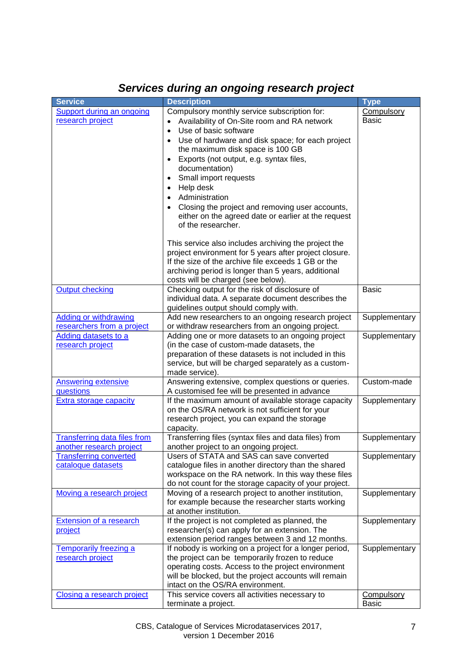| Services during an ongoing research project |  |  |
|---------------------------------------------|--|--|
|---------------------------------------------|--|--|

<span id="page-7-0"></span>

| <b>Service</b>                      | <b>Description</b>                                     | <b>Type</b>   |
|-------------------------------------|--------------------------------------------------------|---------------|
| <b>Support during an ongoing</b>    | Compulsory monthly service subscription for:           | Compulsory    |
| research project                    | Availability of On-Site room and RA network            | <b>Basic</b>  |
|                                     | Use of basic software<br>$\bullet$                     |               |
|                                     | Use of hardware and disk space; for each project       |               |
|                                     | the maximum disk space is 100 GB                       |               |
|                                     |                                                        |               |
|                                     | Exports (not output, e.g. syntax files,                |               |
|                                     | documentation)                                         |               |
|                                     | Small import requests                                  |               |
|                                     | Help desk                                              |               |
|                                     | Administration                                         |               |
|                                     | Closing the project and removing user accounts,        |               |
|                                     | either on the agreed date or earlier at the request    |               |
|                                     | of the researcher.                                     |               |
|                                     |                                                        |               |
|                                     | This service also includes archiving the project the   |               |
|                                     | project environment for 5 years after project closure. |               |
|                                     | If the size of the archive file exceeds 1 GB or the    |               |
|                                     | archiving period is longer than 5 years, additional    |               |
|                                     | costs will be charged (see below).                     |               |
| <b>Output checking</b>              | Checking output for the risk of disclosure of          | <b>Basic</b>  |
|                                     | individual data. A separate document describes the     |               |
|                                     | guidelines output should comply with.                  |               |
| <b>Adding or withdrawing</b>        | Add new researchers to an ongoing research project     | Supplementary |
| researchers from a project          | or withdraw researchers from an ongoing project.       |               |
| Adding datasets to a                | Adding one or more datasets to an ongoing project      | Supplementary |
| research project                    | (in the case of custom-made datasets, the              |               |
|                                     | preparation of these datasets is not included in this  |               |
|                                     | service, but will be charged separately as a custom-   |               |
|                                     | made service).                                         |               |
| <b>Answering extensive</b>          | Answering extensive, complex questions or queries.     | Custom-made   |
| questions                           | A customised fee will be presented in advance          |               |
| <b>Extra storage capacity</b>       | If the maximum amount of available storage capacity    | Supplementary |
|                                     | on the OS/RA network is not sufficient for your        |               |
|                                     | research project, you can expand the storage           |               |
|                                     | capacity.                                              |               |
| <b>Transferring data files from</b> | Transferring files (syntax files and data files) from  | Supplementary |
| another research project            | another project to an ongoing project.                 |               |
| <b>Transferring converted</b>       | Users of STATA and SAS can save converted              | Supplementary |
| cataloque datasets                  | catalogue files in another directory than the shared   |               |
|                                     | workspace on the RA network. In this way these files   |               |
|                                     | do not count for the storage capacity of your project. |               |
| Moving a research project           | Moving of a research project to another institution,   | Supplementary |
|                                     | for example because the researcher starts working      |               |
|                                     | at another institution.                                |               |
| <b>Extension of a research</b>      | If the project is not completed as planned, the        | Supplementary |
| project                             | researcher(s) can apply for an extension. The          |               |
|                                     | extension period ranges between 3 and 12 months.       |               |
| <b>Temporarily freezing a</b>       | If nobody is working on a project for a longer period, | Supplementary |
| research project                    | the project can be temporarily frozen to reduce        |               |
|                                     | operating costs. Access to the project environment     |               |
|                                     | will be blocked, but the project accounts will remain  |               |
|                                     | intact on the OS/RA environment.                       |               |
| Closing a research project          | This service covers all activities necessary to        | Compulsory    |
|                                     | terminate a project.                                   | <b>Basic</b>  |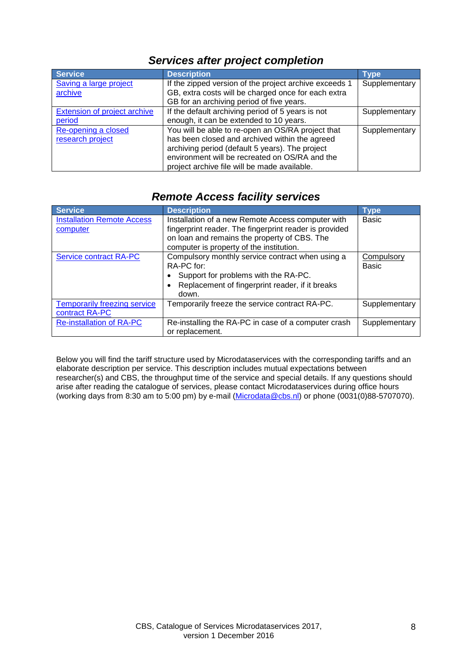#### *Services after project completion*

<span id="page-8-0"></span>

| <b>Service</b>               | <b>Description</b>                                     | <b>Type</b>   |
|------------------------------|--------------------------------------------------------|---------------|
| Saving a large project       | If the zipped version of the project archive exceeds 1 | Supplementary |
| archive                      | GB, extra costs will be charged once for each extra    |               |
|                              | GB for an archiving period of five years.              |               |
| Extension of project archive | If the default archiving period of 5 years is not      | Supplementary |
| period                       | enough, it can be extended to 10 years.                |               |
| Re-opening a closed          | You will be able to re-open an OS/RA project that      | Supplementary |
| research project             | has been closed and archived within the agreed         |               |
|                              | archiving period (default 5 years). The project        |               |
|                              | environment will be recreated on OS/RA and the         |               |
|                              | project archive file will be made available.           |               |

#### *Remote Access facility services*

<span id="page-8-1"></span>

| Service                                               | <b>Description</b>                                                                                          | <b>Type</b>         |
|-------------------------------------------------------|-------------------------------------------------------------------------------------------------------------|---------------------|
| <b>Installation Remote Access</b><br>computer         | Installation of a new Remote Access computer with<br>fingerprint reader. The fingerprint reader is provided | <b>Basic</b>        |
|                                                       | on loan and remains the property of CBS. The<br>computer is property of the institution.                    |                     |
| <b>Service contract RA-PC</b>                         | Compulsory monthly service contract when using a<br>RA-PC for:                                              | Compulsory<br>Basic |
|                                                       | Support for problems with the RA-PC.<br>Replacement of fingerprint reader, if it breaks<br>down.            |                     |
| <b>Temporarily freezing service</b><br>contract RA-PC | Temporarily freeze the service contract RA-PC.                                                              | Supplementary       |
| <b>Re-installation of RA-PC</b>                       | Re-installing the RA-PC in case of a computer crash<br>or replacement.                                      | Supplementary       |

Below you will find the tariff structure used by Microdataservices with the corresponding tariffs and an elaborate description per service. This description includes mutual expectations between researcher(s) and CBS, the throughput time of the service and special details. If any questions should arise after reading the catalogue of services, please contact Microdataservices during office hours (working days from 8:30 am to 5:00 pm) by e-mail [\(Microdata@cbs.nl\)](mailto:cvb@cbs.nl) or phone (0031(0)88-5707070).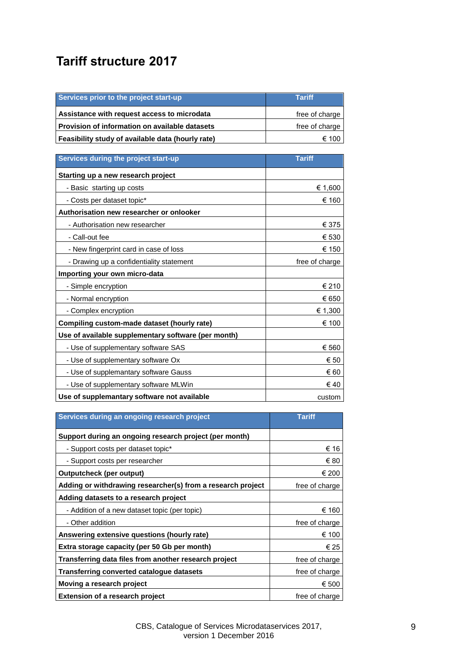## <span id="page-9-0"></span>**Tariff structure 2017**

| Services prior to the project start-up            | <b>Tariff</b>  |
|---------------------------------------------------|----------------|
| Assistance with request access to microdata       | free of charge |
| Provision of information on available datasets    | free of charge |
| Feasibility study of available data (hourly rate) | € 100          |

| Services during the project start-up                | <b>Tariff</b>  |
|-----------------------------------------------------|----------------|
| Starting up a new research project                  |                |
| - Basic starting up costs                           | € 1,600        |
| - Costs per dataset topic*                          | € 160          |
| Authorisation new researcher or onlooker            |                |
| - Authorisation new researcher                      | € 375          |
| - Call-out fee                                      | € 530          |
| - New fingerprint card in case of loss              | € 150          |
| - Drawing up a confidentiality statement            | free of charge |
| Importing your own micro-data                       |                |
| - Simple encryption                                 | € 210          |
| - Normal encryption                                 | € 650          |
| - Complex encryption                                | € 1,300        |
| Compiling custom-made dataset (hourly rate)         | € 100          |
| Use of available supplementary software (per month) |                |
| - Use of supplementary software SAS                 | € 560          |
| - Use of supplementary software Ox                  | € 50           |
| - Use of supplemantary software Gauss               | € 60           |
| - Use of supplementary software MLWin               | €40            |
| Use of supplemantary software not available         | custom         |

| Services during an ongoing research project                 | <b>Tariff</b>  |
|-------------------------------------------------------------|----------------|
| Support during an ongoing research project (per month)      |                |
| - Support costs per dataset topic*                          | € 16           |
| - Support costs per researcher                              | € 80           |
| Outputcheck (per output)                                    | € 200          |
| Adding or withdrawing researcher(s) from a research project | free of charge |
| Adding datasets to a research project                       |                |
| - Addition of a new dataset topic (per topic)               | € 160          |
| - Other addition                                            | free of charge |
| Answering extensive questions (hourly rate)                 | € 100          |
| Extra storage capacity (per 50 Gb per month)                | € 25           |
| Transferring data files from another research project       | free of charge |
| Transferring converted catalogue datasets                   | free of charge |
| Moving a research project                                   | € 500          |
| <b>Extension of a research project</b>                      | free of charge |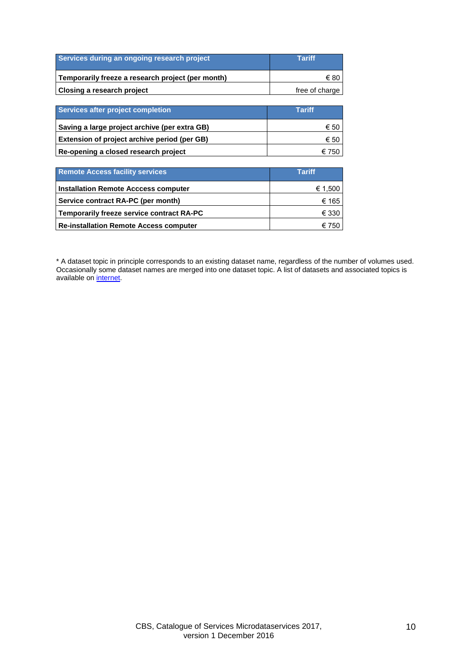| Services during an ongoing research project       | <b>Tariff</b>  |
|---------------------------------------------------|----------------|
| Temporarily freeze a research project (per month) | € 80           |
| Closing a research project                        | free of charge |

| Services after project completion             | <b>Tariff</b> |
|-----------------------------------------------|---------------|
| Saving a large project archive (per extra GB) | € 50          |
| Extension of project archive period (per GB)  | € 50          |
| Re-opening a closed research project          | € 750         |

| <b>Remote Access facility services</b>        | <b>Tariff</b> |
|-----------------------------------------------|---------------|
| <b>Installation Remote Acccess computer</b>   | € 1,500       |
| Service contract RA-PC (per month)            | € 165         |
| Temporarily freeze service contract RA-PC     | € 330         |
| <b>Re-installation Remote Access computer</b> | € 750         |

\* A dataset topic in principle corresponds to an existing dataset name, regardless of the number of volumes used. Occasionally some dataset names are merged into one dataset topic. A list of datasets and associated topics is available on **internet**.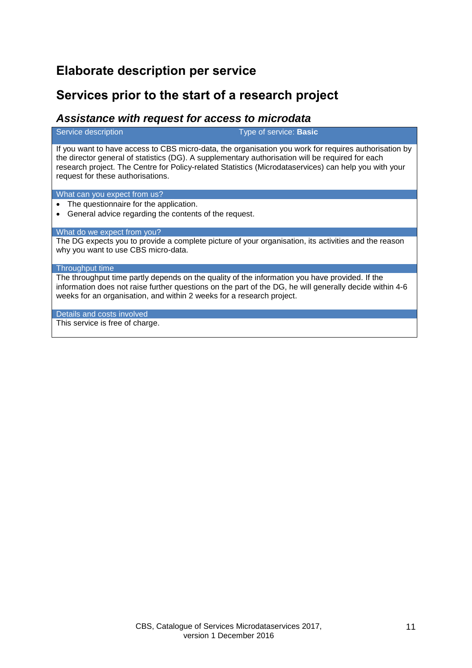### <span id="page-11-0"></span>**Elaborate description per service**

### <span id="page-11-1"></span>**Services prior to the start of a research project**

#### <span id="page-11-2"></span>*Assistance with request for access to microdata*

Service description Type of service: **Basic** If you want to have access to CBS micro-data, the organisation you work for requires authorisation by

the director general of statistics (DG). A supplementary authorisation will be required for each research project. The Centre for Policy-related Statistics (Microdataservices) can help you with your request for these authorisations.

What can you expect from us?

- The questionnaire for the application.
- General advice regarding the contents of the request.

#### What do we expect from you?

The DG expects you to provide a complete picture of your organisation, its activities and the reason why you want to use CBS micro-data.

#### Throughput time

The throughput time partly depends on the quality of the information you have provided. If the information does not raise further questions on the part of the DG, he will generally decide within 4-6 weeks for an organisation, and within 2 weeks for a research project.

#### Details and costs involved

This service is free of charge.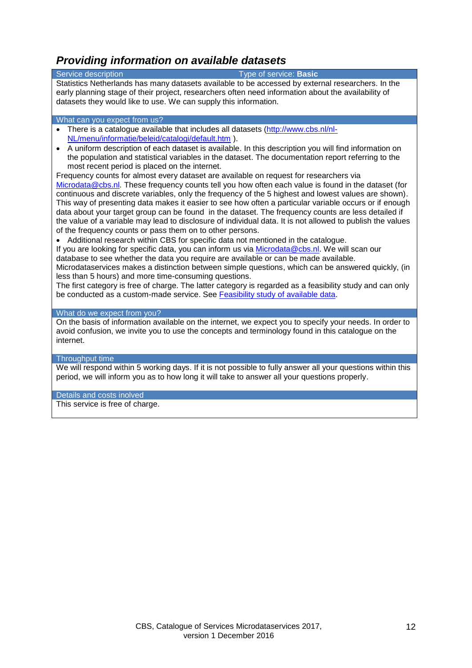### <span id="page-12-0"></span>*Providing information on available datasets*

| Service description                                                                                                                                                                                                                                                                                         | Type of service: Basic                                                                                                                                                                                                                                                                                                                                                                                                                                                                                                                                                                                                                                                                                                                                                                                                                                                                                                                                                                                                                                                                                                                                                                                                                                                                                                                                                                                                                  |
|-------------------------------------------------------------------------------------------------------------------------------------------------------------------------------------------------------------------------------------------------------------------------------------------------------------|-----------------------------------------------------------------------------------------------------------------------------------------------------------------------------------------------------------------------------------------------------------------------------------------------------------------------------------------------------------------------------------------------------------------------------------------------------------------------------------------------------------------------------------------------------------------------------------------------------------------------------------------------------------------------------------------------------------------------------------------------------------------------------------------------------------------------------------------------------------------------------------------------------------------------------------------------------------------------------------------------------------------------------------------------------------------------------------------------------------------------------------------------------------------------------------------------------------------------------------------------------------------------------------------------------------------------------------------------------------------------------------------------------------------------------------------|
| datasets they would like to use. We can supply this information.                                                                                                                                                                                                                                            | Statistics Netherlands has many datasets available to be accessed by external researchers. In the<br>early planning stage of their project, researchers often need information about the availability of                                                                                                                                                                                                                                                                                                                                                                                                                                                                                                                                                                                                                                                                                                                                                                                                                                                                                                                                                                                                                                                                                                                                                                                                                                |
| What can you expect from us?                                                                                                                                                                                                                                                                                |                                                                                                                                                                                                                                                                                                                                                                                                                                                                                                                                                                                                                                                                                                                                                                                                                                                                                                                                                                                                                                                                                                                                                                                                                                                                                                                                                                                                                                         |
| NL/menu/informatie/beleid/catalogi/default.htm ).<br>most recent period is placed on the internet.<br>of the frequency counts or pass them on to other persons.<br>less than 5 hours) and more time-consuming questions.<br>be conducted as a custom-made service. See Feasibility study of available data. | There is a catalogue available that includes all datasets (http://www.cbs.nl/nl-<br>A uniform description of each dataset is available. In this description you will find information on<br>the population and statistical variables in the dataset. The documentation report referring to the<br>Frequency counts for almost every dataset are available on request for researchers via<br>Microdata@cbs.nl. These frequency counts tell you how often each value is found in the dataset (for<br>continuous and discrete variables, only the frequency of the 5 highest and lowest values are shown).<br>This way of presenting data makes it easier to see how often a particular variable occurs or if enough<br>data about your target group can be found in the dataset. The frequency counts are less detailed if<br>the value of a variable may lead to disclosure of individual data. It is not allowed to publish the values<br>Additional research within CBS for specific data not mentioned in the catalogue.<br>If you are looking for specific data, you can inform us via Microdata@cbs.nl. We will scan our<br>database to see whether the data you require are available or can be made available.<br>Microdataservices makes a distinction between simple questions, which can be answered quickly, (in<br>The first category is free of charge. The latter category is regarded as a feasibility study and can only |
| What do we expect from you?                                                                                                                                                                                                                                                                                 |                                                                                                                                                                                                                                                                                                                                                                                                                                                                                                                                                                                                                                                                                                                                                                                                                                                                                                                                                                                                                                                                                                                                                                                                                                                                                                                                                                                                                                         |
| internet.                                                                                                                                                                                                                                                                                                   | On the basis of information available on the internet, we expect you to specify your needs. In order to<br>avoid confusion, we invite you to use the concepts and terminology found in this catalogue on the                                                                                                                                                                                                                                                                                                                                                                                                                                                                                                                                                                                                                                                                                                                                                                                                                                                                                                                                                                                                                                                                                                                                                                                                                            |
| Throughput time                                                                                                                                                                                                                                                                                             |                                                                                                                                                                                                                                                                                                                                                                                                                                                                                                                                                                                                                                                                                                                                                                                                                                                                                                                                                                                                                                                                                                                                                                                                                                                                                                                                                                                                                                         |
|                                                                                                                                                                                                                                                                                                             | We will respond within 5 working days. If it is not possible to fully answer all your questions within this<br>period, we will inform you as to how long it will take to answer all your questions properly.                                                                                                                                                                                                                                                                                                                                                                                                                                                                                                                                                                                                                                                                                                                                                                                                                                                                                                                                                                                                                                                                                                                                                                                                                            |
| Details and costs inolved                                                                                                                                                                                                                                                                                   |                                                                                                                                                                                                                                                                                                                                                                                                                                                                                                                                                                                                                                                                                                                                                                                                                                                                                                                                                                                                                                                                                                                                                                                                                                                                                                                                                                                                                                         |
| This service is free of charge.                                                                                                                                                                                                                                                                             |                                                                                                                                                                                                                                                                                                                                                                                                                                                                                                                                                                                                                                                                                                                                                                                                                                                                                                                                                                                                                                                                                                                                                                                                                                                                                                                                                                                                                                         |
|                                                                                                                                                                                                                                                                                                             |                                                                                                                                                                                                                                                                                                                                                                                                                                                                                                                                                                                                                                                                                                                                                                                                                                                                                                                                                                                                                                                                                                                                                                                                                                                                                                                                                                                                                                         |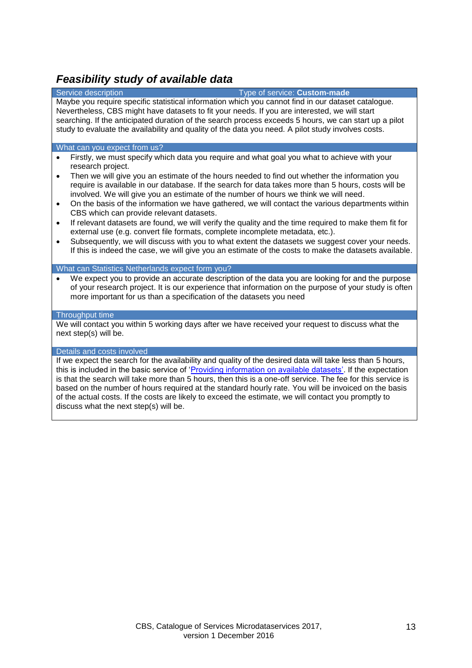#### <span id="page-13-0"></span>*Feasibility study of available data*

discuss what the next step(s) will be.

#### Service description Type of service: **Custom-made** Maybe you require specific statistical information which you cannot find in our dataset catalogue. Nevertheless, CBS might have datasets to fit your needs. If you are interested, we will start searching. If the anticipated duration of the search process exceeds 5 hours, we can start up a pilot study to evaluate the availability and quality of the data you need. A pilot study involves costs. What can you expect from us? Firstly, we must specify which data you require and what goal you what to achieve with your research project. Then we will give you an estimate of the hours needed to find out whether the information you require is available in our database. If the search for data takes more than 5 hours, costs will be involved. We will give you an estimate of the number of hours we think we will need. On the basis of the information we have gathered, we will contact the various departments within CBS which can provide relevant datasets. If relevant datasets are found, we will verify the quality and the time required to make them fit for external use (e.g. convert file formats, complete incomplete metadata, etc.). Subsequently, we will discuss with you to what extent the datasets we suggest cover your needs. If this is indeed the case, we will give you an estimate of the costs to make the datasets available. What can Statistics Netherlands expect form you? We expect you to provide an accurate description of the data you are looking for and the purpose of your research project. It is our experience that information on the purpose of your study is often more important for us than a specification of the datasets you need Throughput time We will contact you within 5 working days after we have received your request to discuss what the next step(s) will be. Details and costs involved If we expect the search for the availability and quality of the desired data will take less than 5 hours, this is included in the basic service of ['Providing information on available datasets'.](#page-12-0) If the expectation is that the search will take more than 5 hours, then this is a one-off service. The fee for this service is based on the number of hours required at the standard hourly rate. You will be invoiced on the basis

of the actual costs. If the costs are likely to exceed the estimate, we will contact you promptly to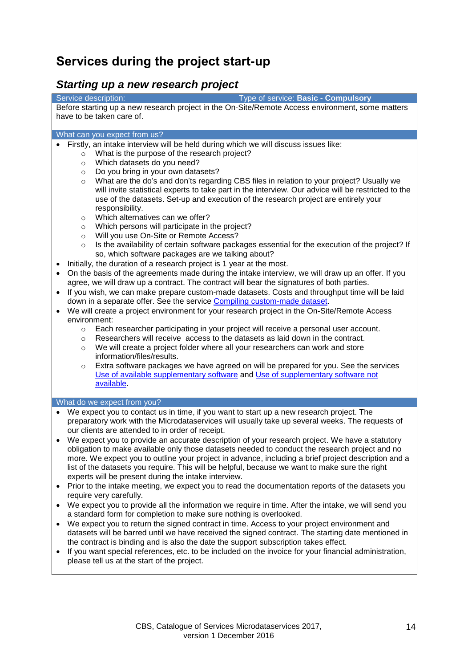### <span id="page-14-0"></span>**Services during the project start-up**

### <span id="page-14-1"></span>*Starting up a new research project*

| Service description:                                                                                                                                                                                                                                                                                                                                                                                                                                                                                                                                                                                                                                                                                                                                                                                                                                                                                                                                                                                                                                                                                                                                                                                                                                                                                                                                                                                                                                                                                                                                                                                                                                                                                                                                                                                                                                                                                                                                                                                                                         | Type of service: Basic - Compulsory |
|----------------------------------------------------------------------------------------------------------------------------------------------------------------------------------------------------------------------------------------------------------------------------------------------------------------------------------------------------------------------------------------------------------------------------------------------------------------------------------------------------------------------------------------------------------------------------------------------------------------------------------------------------------------------------------------------------------------------------------------------------------------------------------------------------------------------------------------------------------------------------------------------------------------------------------------------------------------------------------------------------------------------------------------------------------------------------------------------------------------------------------------------------------------------------------------------------------------------------------------------------------------------------------------------------------------------------------------------------------------------------------------------------------------------------------------------------------------------------------------------------------------------------------------------------------------------------------------------------------------------------------------------------------------------------------------------------------------------------------------------------------------------------------------------------------------------------------------------------------------------------------------------------------------------------------------------------------------------------------------------------------------------------------------------|-------------------------------------|
| Before starting up a new research project in the On-Site/Remote Access environment, some matters<br>have to be taken care of.                                                                                                                                                                                                                                                                                                                                                                                                                                                                                                                                                                                                                                                                                                                                                                                                                                                                                                                                                                                                                                                                                                                                                                                                                                                                                                                                                                                                                                                                                                                                                                                                                                                                                                                                                                                                                                                                                                                |                                     |
| What can you expect from us?                                                                                                                                                                                                                                                                                                                                                                                                                                                                                                                                                                                                                                                                                                                                                                                                                                                                                                                                                                                                                                                                                                                                                                                                                                                                                                                                                                                                                                                                                                                                                                                                                                                                                                                                                                                                                                                                                                                                                                                                                 |                                     |
| Firstly, an intake interview will be held during which we will discuss issues like:<br>What is the purpose of the research project?<br>$\circ$<br>Which datasets do you need?<br>$\circ$<br>Do you bring in your own datasets?<br>$\circ$<br>What are the do's and don'ts regarding CBS files in relation to your project? Usually we<br>$\circ$<br>will invite statistical experts to take part in the interview. Our advice will be restricted to the<br>use of the datasets. Set-up and execution of the research project are entirely your<br>responsibility.<br>Which alternatives can we offer?<br>$\circ$<br>Which persons will participate in the project?<br>$\circ$<br>Will you use On-Site or Remote Access?<br>$\circ$<br>Is the availability of certain software packages essential for the execution of the project? If<br>$\circ$<br>so, which software packages are we talking about?<br>Initially, the duration of a research project is 1 year at the most.<br>On the basis of the agreements made during the intake interview, we will draw up an offer. If you<br>$\bullet$<br>agree, we will draw up a contract. The contract will bear the signatures of both parties.<br>If you wish, we can make prepare custom-made datasets. Costs and throughput time will be laid<br>$\bullet$<br>down in a separate offer. See the service Compiling custom-made dataset.<br>We will create a project environment for your research project in the On-Site/Remote Access<br>$\bullet$<br>environment:<br>Each researcher participating in your project will receive a personal user account.<br>$\circ$<br>Researchers will receive access to the datasets as laid down in the contract.<br>$\circ$<br>We will create a project folder where all your researchers can work and store<br>$\circ$<br>information/files/results.<br>Extra software packages we have agreed on will be prepared for you. See the services<br>$\circ$<br>Use of available supplementary software and Use of supplementary software not<br>available. |                                     |
| What do we expect from you?                                                                                                                                                                                                                                                                                                                                                                                                                                                                                                                                                                                                                                                                                                                                                                                                                                                                                                                                                                                                                                                                                                                                                                                                                                                                                                                                                                                                                                                                                                                                                                                                                                                                                                                                                                                                                                                                                                                                                                                                                  |                                     |
| We expect you to contact us in time, if you want to start up a new research project. The<br>$\bullet$<br>preparatory work with the Microdataservices will usually take up several weeks. The requests of<br>our clients are attended to in order of receipt.<br>We expect you to provide an accurate description of your research project. We have a statutory<br>obligation to make available only those datasets needed to conduct the research project and no<br>more. We expect you to outline your project in advance, including a brief project description and a<br>list of the datasets you require. This will be helpful, because we want to make sure the right<br>experts will be present during the intake interview.<br>Prior to the intake meeting, we expect you to read the documentation reports of the datasets you<br>$\bullet$<br>require very carefully.<br>We expect you to provide all the information we require in time. After the intake, we will send you<br>$\bullet$<br>a standard form for completion to make sure nothing is overlooked.<br>We expect you to return the signed contract in time. Access to your project environment and<br>$\bullet$<br>datasets will be barred until we have received the signed contract. The starting date mentioned in<br>the contract is binding and is also the date the support subscription takes effect.<br>If you want special references, etc. to be included on the invoice for your financial administration,<br>please tell us at the start of the project.                                                                                                                                                                                                                                                                                                                                                                                                                                                                                                     |                                     |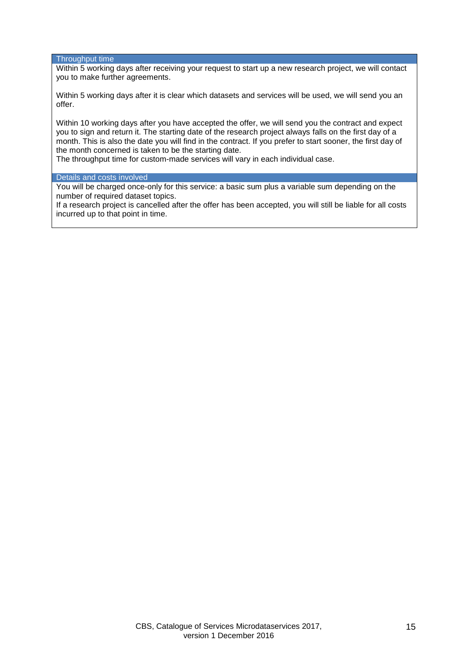Throughput time

Within 5 working days after receiving your request to start up a new research project, we will contact you to make further agreements.

Within 5 working days after it is clear which datasets and services will be used, we will send you an offer.

Within 10 working days after you have accepted the offer, we will send you the contract and expect you to sign and return it. The starting date of the research project always falls on the first day of a month. This is also the date you will find in the contract. If you prefer to start sooner, the first day of the month concerned is taken to be the starting date.

The throughput time for custom-made services will vary in each individual case.

Details and costs involved

You will be charged once-only for this service: a basic sum plus a variable sum depending on the number of required dataset topics.

<span id="page-15-0"></span>If a research project is cancelled after the offer has been accepted, you will still be liable for all costs incurred up to that point in time.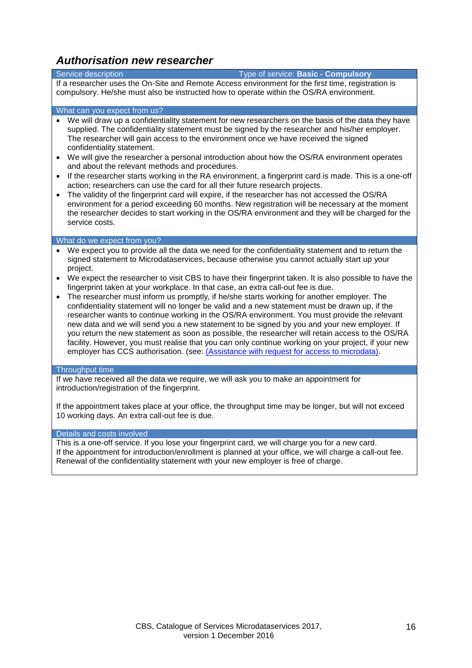#### <span id="page-16-0"></span>*Authorisation new researcher*

#### Service description Type of service: **Basic - Compulsory**

If a researcher uses the On-Site and Remote Access environment for the first time, registration is compulsory. He/she must also be instructed how to operate within the OS/RA environment.

#### What can you expect from us?

- We will draw up a confidentiality statement for new researchers on the basis of the data they have supplied. The confidentiality statement must be signed by the researcher and his/her employer. The researcher will gain access to the environment once we have received the signed confidentiality statement.
- We will give the researcher a personal introduction about how the OS/RA environment operates and about the relevant methods and procedures.
- If the researcher starts working in the RA environment, a fingerprint card is made. This is a one-off action; researchers can use the card for all their future research projects.
- The validity of the fingerprint card will expire, if the researcher has not accessed the OS/RA environment for a period exceeding 60 months. New registration will be necessary at the moment the researcher decides to start working in the OS/RA environment and they will be charged for the service costs.

#### What do we expect from you?

- We expect you to provide all the data we need for the confidentiality statement and to return the signed statement to Microdataservices, because otherwise you cannot actually start up your project.
- We expect the researcher to visit CBS to have their fingerprint taken. It is also possible to have the fingerprint taken at your workplace. In that case, an extra call-out fee is due.
- The researcher must inform us promptly, if he/she starts working for another employer. The confidentiality statement will no longer be valid and a new statement must be drawn up, if the researcher wants to continue working in the OS/RA environment. You must provide the relevant new data and we will send you a new statement to be signed by you and your new employer. If you return the new statement as soon as possible, the researcher will retain access to the OS/RA facility. However, you must realise that you can only continue working on your project, if your new employer has CCS authorisation. (see: [\(Assistance with request](#page-11-2) for access to microdata).

#### Throughput time

If we have received all the data we require, we will ask you to make an appointment for introduction/registration of the fingerprint.

If the appointment takes place at your office, the throughput time may be longer, but will not exceed 10 working days. An extra call-out fee is due.

#### Details and costs involved

This is a one-off service. If you lose your fingerprint card, we will charge you for a new card. If the appointment for introduction/enrollment is planned at your office, we will charge a call-out fee. Renewal of the confidentiality statement with your new employer is free of charge.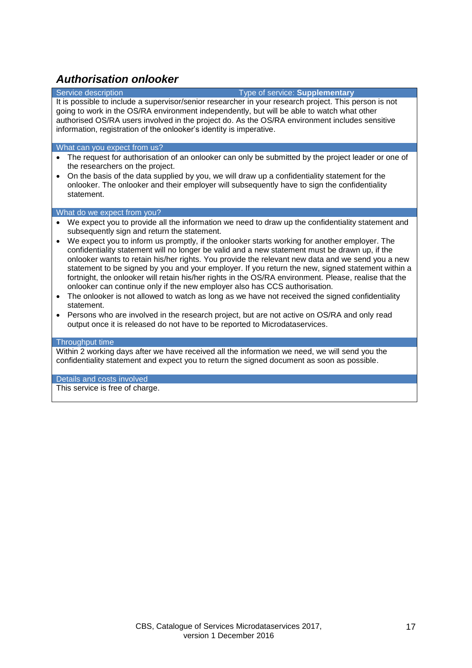#### <span id="page-17-0"></span>*Authorisation onlooker*

#### Service description Type of service: **Supplementary** It is possible to include a supervisor/senior researcher in your research project. This person is not going to work in the OS/RA environment independently, but will be able to watch what other authorised OS/RA users involved in the project do. As the OS/RA environment includes sensitive information, registration of the onlooker's identity is imperative. What can you expect from us? The request for authorisation of an onlooker can only be submitted by the project leader or one of the researchers on the project. On the basis of the data supplied by you, we will draw up a confidentiality statement for the onlooker. The onlooker and their employer will subsequently have to sign the confidentiality statement. What do we expect from you? We expect you to provide all the information we need to draw up the confidentiality statement and subsequently sign and return the statement. We expect you to inform us promptly, if the onlooker starts working for another employer. The confidentiality statement will no longer be valid and a new statement must be drawn up, if the onlooker wants to retain his/her rights. You provide the relevant new data and we send you a new statement to be signed by you and your employer. If you return the new, signed statement within a fortnight, the onlooker will retain his/her rights in the OS/RA environment. Please, realise that the onlooker can continue only if the new employer also has CCS authorisation. The onlooker is not allowed to watch as long as we have not received the signed confidentiality statement. Persons who are involved in the research project, but are not active on OS/RA and only read output once it is released do not have to be reported to Microdataservices. Throughput time Within 2 working days after we have received all the information we need, we will send you the confidentiality statement and expect you to return the signed document as soon as possible.

Details and costs involved

This service is free of charge.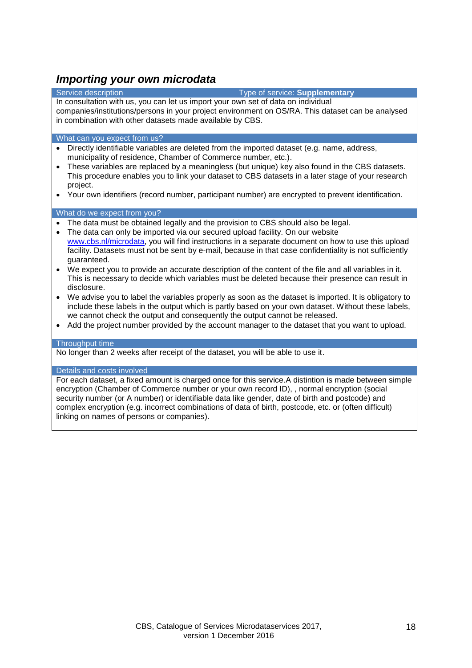### <span id="page-18-0"></span>*Importing your own microdata*

| Service description                                                                         | Type of service: Supplementary                                                                                                                                                                                                                                                                                                                                                                                                                                                                                                                                                                                                                                                                                                                                                                                                                                                                                                                                                                |
|---------------------------------------------------------------------------------------------|-----------------------------------------------------------------------------------------------------------------------------------------------------------------------------------------------------------------------------------------------------------------------------------------------------------------------------------------------------------------------------------------------------------------------------------------------------------------------------------------------------------------------------------------------------------------------------------------------------------------------------------------------------------------------------------------------------------------------------------------------------------------------------------------------------------------------------------------------------------------------------------------------------------------------------------------------------------------------------------------------|
| in combination with other datasets made available by CBS.                                   | In consultation with us, you can let us import your own set of data on individual<br>companies/institutions/persons in your project environment on OS/RA. This dataset can be analysed                                                                                                                                                                                                                                                                                                                                                                                                                                                                                                                                                                                                                                                                                                                                                                                                        |
| What can you expect from us?                                                                |                                                                                                                                                                                                                                                                                                                                                                                                                                                                                                                                                                                                                                                                                                                                                                                                                                                                                                                                                                                               |
| $\bullet$<br>$\bullet$<br>project.<br>$\bullet$                                             | Directly identifiable variables are deleted from the imported dataset (e.g. name, address,<br>municipality of residence, Chamber of Commerce number, etc.).<br>These variables are replaced by a meaningless (but unique) key also found in the CBS datasets.<br>This procedure enables you to link your dataset to CBS datasets in a later stage of your research<br>Your own identifiers (record number, participant number) are encrypted to prevent identification.                                                                                                                                                                                                                                                                                                                                                                                                                                                                                                                       |
| What do we expect from you?                                                                 |                                                                                                                                                                                                                                                                                                                                                                                                                                                                                                                                                                                                                                                                                                                                                                                                                                                                                                                                                                                               |
| $\bullet$<br>$\bullet$<br>guaranteed.<br>$\bullet$<br>disclosure.<br>$\bullet$<br>$\bullet$ | The data must be obtained legally and the provision to CBS should also be legal.<br>The data can only be imported via our secured upload facility. On our website<br>www.cbs.nl/microdata, you will find instructions in a separate document on how to use this upload<br>facility. Datasets must not be sent by e-mail, because in that case confidentiality is not sufficiently<br>We expect you to provide an accurate description of the content of the file and all variables in it.<br>This is necessary to decide which variables must be deleted because their presence can result in<br>We advise you to label the variables properly as soon as the dataset is imported. It is obligatory to<br>include these labels in the output which is partly based on your own dataset. Without these labels,<br>we cannot check the output and consequently the output cannot be released.<br>Add the project number provided by the account manager to the dataset that you want to upload. |
| Throughput time                                                                             |                                                                                                                                                                                                                                                                                                                                                                                                                                                                                                                                                                                                                                                                                                                                                                                                                                                                                                                                                                                               |
|                                                                                             | No longer than 2 weeks after receipt of the dataset, you will be able to use it.                                                                                                                                                                                                                                                                                                                                                                                                                                                                                                                                                                                                                                                                                                                                                                                                                                                                                                              |
| Details and costs involved                                                                  |                                                                                                                                                                                                                                                                                                                                                                                                                                                                                                                                                                                                                                                                                                                                                                                                                                                                                                                                                                                               |
|                                                                                             | For each dataset, a fixed amount is charged once for this service. A distintion is made between simple<br>encryption (Chamber of Commerce number or your own record ID), , normal encryption (social                                                                                                                                                                                                                                                                                                                                                                                                                                                                                                                                                                                                                                                                                                                                                                                          |

encryption (Chamber of Commerce number or your own record ID), , normal encryption (social security number (or A number) or identifiable data like gender, date of birth and postcode) and complex encryption (e.g. incorrect combinations of data of birth, postcode, etc. or (often difficult) linking on names of persons or companies).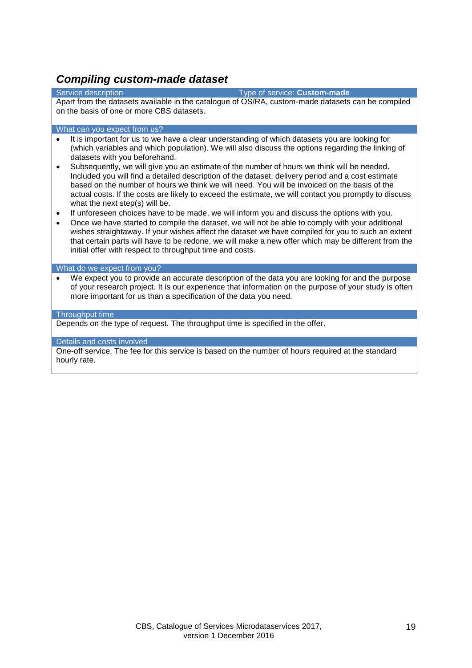#### <span id="page-19-0"></span>*Compiling custom-made dataset*

#### Service description Type of service: **Custom-made**

Apart from the datasets available in the catalogue of OS/RA, custom-made datasets can be compiled on the basis of one or more CBS datasets.

#### What can you expect from us?

- It is important for us to we have a clear understanding of which datasets you are looking for (which variables and which population). We will also discuss the options regarding the linking of datasets with you beforehand.
- Subsequently, we will give you an estimate of the number of hours we think will be needed. Included you will find a detailed description of the dataset, delivery period and a cost estimate based on the number of hours we think we will need. You will be invoiced on the basis of the actual costs. If the costs are likely to exceed the estimate, we will contact you promptly to discuss what the next step(s) will be.
- If unforeseen choices have to be made, we will inform you and discuss the options with you.
- Once we have started to compile the dataset, we will not be able to comply with your additional wishes straightaway. If your wishes affect the dataset we have compiled for you to such an extent that certain parts will have to be redone, we will make a new offer which may be different from the initial offer with respect to throughput time and costs.

#### What do we expect from you?

 We expect you to provide an accurate description of the data you are looking for and the purpose of your research project. It is our experience that information on the purpose of your study is often more important for us than a specification of the data you need.

#### Throughput time

Depends on the type of request. The throughput time is specified in the offer.

#### Details and costs involved

One-off service. The fee for this service is based on the number of hours required at the standard hourly rate.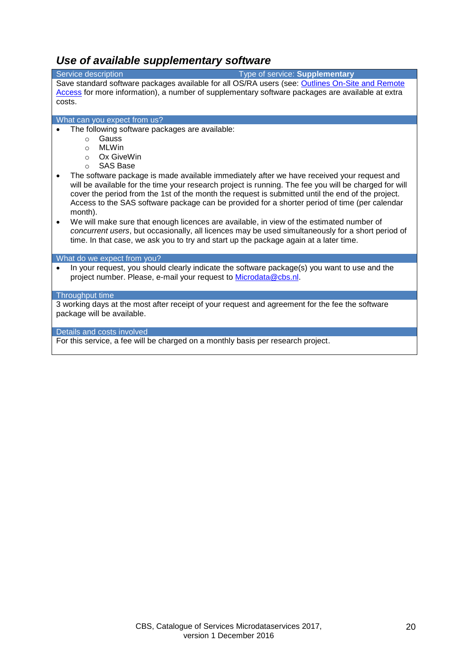### <span id="page-20-0"></span>*Use of available supplementary software*

| Service description                                                                                                                                                                                                                                                                                                                                                                                          | Type of service: Supplementary                                                                                                                                                                                                                                                                              |
|--------------------------------------------------------------------------------------------------------------------------------------------------------------------------------------------------------------------------------------------------------------------------------------------------------------------------------------------------------------------------------------------------------------|-------------------------------------------------------------------------------------------------------------------------------------------------------------------------------------------------------------------------------------------------------------------------------------------------------------|
| Save standard software packages available for all OS/RA users (see: Outlines On-Site and Remote<br>Access for more information), a number of supplementary software packages are available at extra<br>costs.                                                                                                                                                                                                |                                                                                                                                                                                                                                                                                                             |
| What can you expect from us?                                                                                                                                                                                                                                                                                                                                                                                 |                                                                                                                                                                                                                                                                                                             |
| The following software packages are available:<br>Gauss<br>$\circ$<br><b>MLWin</b><br>$\Omega$<br>o Ox GiveWin<br><b>SAS Base</b><br>$\cap$                                                                                                                                                                                                                                                                  |                                                                                                                                                                                                                                                                                                             |
| The software package is made available immediately after we have received your request and<br>cover the period from the 1st of the month the request is submitted until the end of the project.<br>month).<br>We will make sure that enough licences are available, in view of the estimated number of<br>$\bullet$<br>time. In that case, we ask you to try and start up the package again at a later time. | will be available for the time your research project is running. The fee you will be charged for will<br>Access to the SAS software package can be provided for a shorter period of time (per calendar<br>concurrent users, but occasionally, all licences may be used simultaneously for a short period of |
| What do we expect from you?                                                                                                                                                                                                                                                                                                                                                                                  |                                                                                                                                                                                                                                                                                                             |
| In your request, you should clearly indicate the software package(s) you want to use and the<br>project number. Please, e-mail your request to Microdata@cbs.nl.                                                                                                                                                                                                                                             |                                                                                                                                                                                                                                                                                                             |
| Throughput time                                                                                                                                                                                                                                                                                                                                                                                              |                                                                                                                                                                                                                                                                                                             |
| 3 working days at the most after receipt of your request and agreement for the fee the software<br>package will be available.                                                                                                                                                                                                                                                                                |                                                                                                                                                                                                                                                                                                             |
| Details and costs involved                                                                                                                                                                                                                                                                                                                                                                                   |                                                                                                                                                                                                                                                                                                             |

For this service, a fee will be charged on a monthly basis per research project.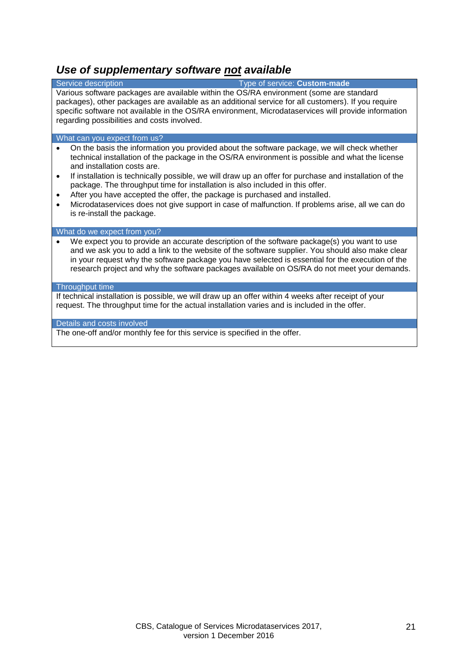### <span id="page-21-0"></span>*Use of supplementary software not available*

| Type of service: Custom-made<br>Service description                                                                                                                                                                                                                                                                                                                                                                                                                                                                                                                                                                                                                             |
|---------------------------------------------------------------------------------------------------------------------------------------------------------------------------------------------------------------------------------------------------------------------------------------------------------------------------------------------------------------------------------------------------------------------------------------------------------------------------------------------------------------------------------------------------------------------------------------------------------------------------------------------------------------------------------|
| Various software packages are available within the OS/RA environment (some are standard<br>packages), other packages are available as an additional service for all customers). If you require<br>specific software not available in the OS/RA environment, Microdataservices will provide information<br>regarding possibilities and costs involved.                                                                                                                                                                                                                                                                                                                           |
| What can you expect from us?                                                                                                                                                                                                                                                                                                                                                                                                                                                                                                                                                                                                                                                    |
| On the basis the information you provided about the software package, we will check whether<br>technical installation of the package in the OS/RA environment is possible and what the license<br>and installation costs are.<br>If installation is technically possible, we will draw up an offer for purchase and installation of the<br>$\bullet$<br>package. The throughput time for installation is also included in this offer.<br>After you have accepted the offer, the package is purchased and installed.<br>$\bullet$<br>Microdataservices does not give support in case of malfunction. If problems arise, all we can do<br>$\bullet$<br>is re-install the package. |
| What do we expect from you?                                                                                                                                                                                                                                                                                                                                                                                                                                                                                                                                                                                                                                                     |
| We expect you to provide an accurate description of the software package(s) you want to use<br>and we ask you to add a link to the website of the software supplier. You should also make clear<br>in your request why the software package you have selected is essential for the execution of the<br>research project and why the software packages available on OS/RA do not meet your demands.                                                                                                                                                                                                                                                                              |
| Throughput time                                                                                                                                                                                                                                                                                                                                                                                                                                                                                                                                                                                                                                                                 |
| If technical installation is possible, we will draw up an offer within 4 weeks after receipt of your<br>request. The throughput time for the actual installation varies and is included in the offer.                                                                                                                                                                                                                                                                                                                                                                                                                                                                           |

Details and costs involved

The one-off and/or monthly fee for this service is specified in the offer.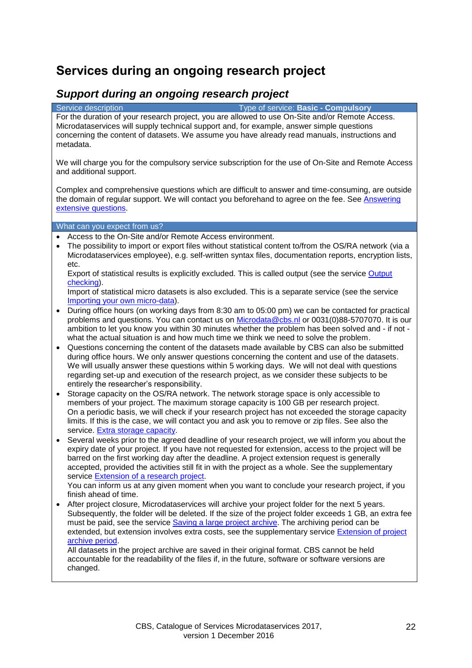### <span id="page-22-0"></span>**Services during an ongoing research project**

#### <span id="page-22-1"></span>*Support during an ongoing research project*

Service description Type of service: **Basic - Compulsory** For the duration of your research project, you are allowed to use On-Site and/or Remote Access. Microdataservices will supply technical support and, for example, answer simple questions concerning the content of datasets. We assume you have already read manuals, instructions and metadata.

We will charge you for the compulsory service subscription for the use of On-Site and Remote Access and additional support.

Complex and comprehensive questions which are difficult to answer and time-consuming, are outside the domain of regular support. We will contact you beforehand to agree on the fee. See [Answering](#page-27-0)  extensive [questions.](#page-27-0)

#### What can you expect from us?

- Access to the On-Site and/or Remote Access environment.
- The possibility to import or export files without statistical content to/from the OS/RA network (via a Microdataservices employee), e.g. self-written syntax files, documentation reports, encryption lists, etc.

Export of statistical results is explicitly excluded. This is called output (see the service [Output](#page-24-0) [checking\)](#page-24-0).

Import of statistical micro datasets is also excluded. This is a separate service (see the service [Importing your own micro-data\)](#page-18-0).

- During office hours (on working days from 8:30 am to 05:00 pm) we can be contacted for practical problems and questions. You can contact us on [Microdata@cbs.nl](mailto:cvb@cbs.nl) or 0031(0)88-5707070. It is our ambition to let you know you within 30 minutes whether the problem has been solved and - if not what the actual situation is and how much time we think we need to solve the problem.
- Questions concerning the content of the datasets made available by CBS can also be submitted during office hours. We only answer questions concerning the content and use of the datasets. We will usually answer these questions within 5 working days. We will not deal with questions regarding set-up and execution of the research project, as we consider these subjects to be entirely the researcher's responsibility.
- Storage capacity on the OS/RA network. The network storage space is only accessible to members of your project. The maximum storage capacity is 100 GB per research project. On a periodic basis, we will check if your research project has not exceeded the storage capacity limits. If this is the case, we will contact you and ask you to remove or zip files. See also the service. [Extra storage capacity.](#page-28-0)
- Several weeks prior to the agreed deadline of your research project, we will inform you about the expiry date of your project. If you have not requested for extension, access to the project will be barred on the first working day after the deadline. A project extension request is generally accepted, provided the activities still fit in with the project as a whole. See the supplementary service Extension of a [research project.](#page-32-0)

You can inform us at any given moment when you want to conclude your research project, if you finish ahead of time.

• After project closure, Microdataservices will archive your project folder for the next 5 years. Subsequently, the folder will be deleted. If the size of the project folder exceeds 1 GB, an extra fee must be paid, see the service [Saving a large project archive.](#page-35-0) The archiving period can be extended, but extension involves extra costs, see the supplementary service [Extension of project](#page-36-0)  [archive](#page-36-0) period.

All datasets in the project archive are saved in their original format. CBS cannot be held accountable for the readability of the files if, in the future, software or software versions are changed.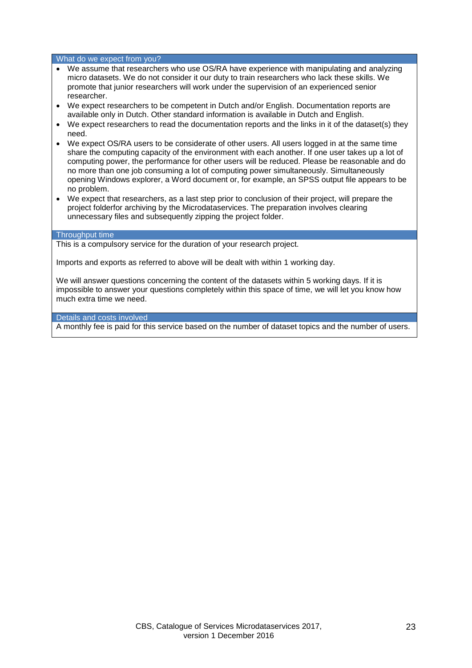#### What do we expect from you?

- We assume that researchers who use OS/RA have experience with manipulating and analyzing micro datasets. We do not consider it our duty to train researchers who lack these skills. We promote that junior researchers will work under the supervision of an experienced senior researcher.
- We expect researchers to be competent in Dutch and/or English. Documentation reports are available only in Dutch. Other standard information is available in Dutch and English.
- We expect researchers to read the documentation reports and the links in it of the dataset(s) they need.
- We expect OS/RA users to be considerate of other users. All users logged in at the same time share the computing capacity of the environment with each another. If one user takes up a lot of computing power, the performance for other users will be reduced. Please be reasonable and do no more than one job consuming a lot of computing power simultaneously. Simultaneously opening Windows explorer, a Word document or, for example, an SPSS output file appears to be no problem.
- We expect that researchers, as a last step prior to conclusion of their project, will prepare the project folderfor archiving by the Microdataservices. The preparation involves clearing unnecessary files and subsequently zipping the project folder.

#### Throughput time

This is a compulsory service for the duration of your research project.

Imports and exports as referred to above will be dealt with within 1 working day.

We will answer questions concerning the content of the datasets within 5 working days. If it is impossible to answer your questions completely within this space of time, we will let you know how much extra time we need.

#### Details and costs involved

A monthly fee is paid for this service based on the number of dataset topics and the number of users.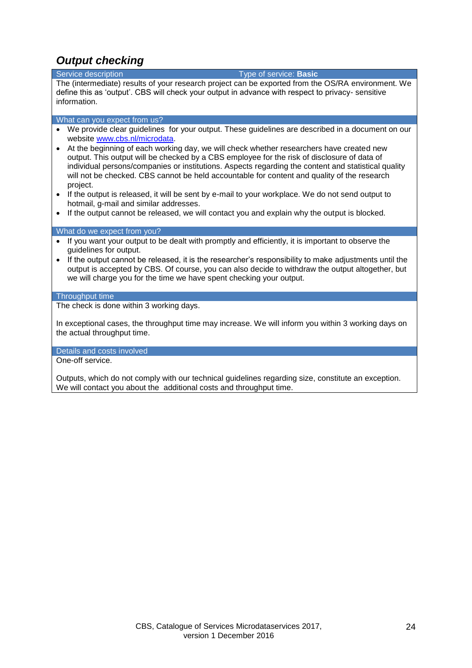### <span id="page-24-0"></span>*Output checking*

| Type of service: Basic<br>Service description                                                                                                                                                                                                                                                                                                                                                                          |
|------------------------------------------------------------------------------------------------------------------------------------------------------------------------------------------------------------------------------------------------------------------------------------------------------------------------------------------------------------------------------------------------------------------------|
| The (intermediate) results of your research project can be exported from the OS/RA environment. We<br>define this as 'output'. CBS will check your output in advance with respect to privacy- sensitive<br>information.                                                                                                                                                                                                |
| What can you expect from us?                                                                                                                                                                                                                                                                                                                                                                                           |
| We provide clear guidelines for your output. These guidelines are described in a document on our<br>website www.cbs.nl/microdata.                                                                                                                                                                                                                                                                                      |
| At the beginning of each working day, we will check whether researchers have created new<br>$\bullet$<br>output. This output will be checked by a CBS employee for the risk of disclosure of data of<br>individual persons/companies or institutions. Aspects regarding the content and statistical quality<br>will not be checked. CBS cannot be held accountable for content and quality of the research<br>project. |
| If the output is released, it will be sent by e-mail to your workplace. We do not send output to<br>$\bullet$<br>hotmail, g-mail and similar addresses.                                                                                                                                                                                                                                                                |
| If the output cannot be released, we will contact you and explain why the output is blocked.<br>$\bullet$                                                                                                                                                                                                                                                                                                              |
| What do we expect from you?                                                                                                                                                                                                                                                                                                                                                                                            |
| If you want your output to be dealt with promptly and efficiently, it is important to observe the<br>guidelines for output.                                                                                                                                                                                                                                                                                            |
| If the output cannot be released, it is the researcher's responsibility to make adjustments until the<br>$\bullet$<br>output is accepted by CBS. Of course, you can also decide to withdraw the output altogether, but<br>we will charge you for the time we have spent checking your output.                                                                                                                          |
| Throughput time                                                                                                                                                                                                                                                                                                                                                                                                        |
| The check is done within 3 working days.                                                                                                                                                                                                                                                                                                                                                                               |
| In exceptional cases, the throughput time may increase. We will inform you within 3 working days on<br>the actual throughput time.                                                                                                                                                                                                                                                                                     |
| Details and costs involved                                                                                                                                                                                                                                                                                                                                                                                             |
| One-off service.                                                                                                                                                                                                                                                                                                                                                                                                       |

Outputs, which do not comply with our technical guidelines regarding size, constitute an exception. We will contact you about the additional costs and throughput time.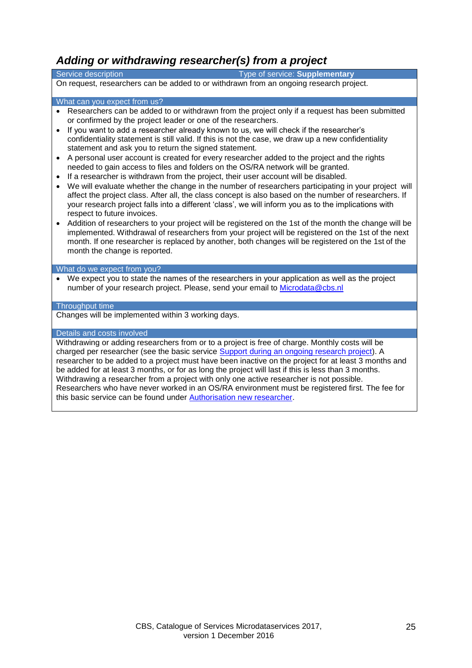### <span id="page-25-0"></span>*Adding or withdrawing researcher(s) from a project*

| Service description                                                                                                                                                                                                                                                                                                                                                                                                                                                                                                                                                                                                                                                                                                                                                                                                                                     | Type of service: <b>Supplementary</b>                                                                                                                                                                                                                                                                                                                                                                                                                                                                                                                                                                                               |
|---------------------------------------------------------------------------------------------------------------------------------------------------------------------------------------------------------------------------------------------------------------------------------------------------------------------------------------------------------------------------------------------------------------------------------------------------------------------------------------------------------------------------------------------------------------------------------------------------------------------------------------------------------------------------------------------------------------------------------------------------------------------------------------------------------------------------------------------------------|-------------------------------------------------------------------------------------------------------------------------------------------------------------------------------------------------------------------------------------------------------------------------------------------------------------------------------------------------------------------------------------------------------------------------------------------------------------------------------------------------------------------------------------------------------------------------------------------------------------------------------------|
| On request, researchers can be added to or withdrawn from an ongoing research project.                                                                                                                                                                                                                                                                                                                                                                                                                                                                                                                                                                                                                                                                                                                                                                  |                                                                                                                                                                                                                                                                                                                                                                                                                                                                                                                                                                                                                                     |
|                                                                                                                                                                                                                                                                                                                                                                                                                                                                                                                                                                                                                                                                                                                                                                                                                                                         |                                                                                                                                                                                                                                                                                                                                                                                                                                                                                                                                                                                                                                     |
| What can you expect from us?                                                                                                                                                                                                                                                                                                                                                                                                                                                                                                                                                                                                                                                                                                                                                                                                                            |                                                                                                                                                                                                                                                                                                                                                                                                                                                                                                                                                                                                                                     |
| $\bullet$<br>or confirmed by the project leader or one of the researchers.<br>If you want to add a researcher already known to us, we will check if the researcher's<br>$\bullet$<br>confidentiality statement is still valid. If this is not the case, we draw up a new confidentiality<br>statement and ask you to return the signed statement.<br>A personal user account is created for every researcher added to the project and the rights<br>$\bullet$<br>needed to gain access to files and folders on the OS/RA network will be granted.<br>If a researcher is withdrawn from the project, their user account will be disabled.<br>$\bullet$<br>$\bullet$<br>your research project falls into a different 'class', we will inform you as to the implications with<br>respect to future invoices.<br>$\bullet$<br>month the change is reported. | Researchers can be added to or withdrawn from the project only if a request has been submitted<br>We will evaluate whether the change in the number of researchers participating in your project will<br>affect the project class. After all, the class concept is also based on the number of researchers. If<br>Addition of researchers to your project will be registered on the 1st of the month the change will be<br>implemented. Withdrawal of researchers from your project will be registered on the 1st of the next<br>month. If one researcher is replaced by another, both changes will be registered on the 1st of the |
| What do we expect from you?                                                                                                                                                                                                                                                                                                                                                                                                                                                                                                                                                                                                                                                                                                                                                                                                                             |                                                                                                                                                                                                                                                                                                                                                                                                                                                                                                                                                                                                                                     |
| • We expect you to state the names of the researchers in your application as well as the project<br>number of your research project. Please, send your email to Microdata@cbs.nl                                                                                                                                                                                                                                                                                                                                                                                                                                                                                                                                                                                                                                                                        |                                                                                                                                                                                                                                                                                                                                                                                                                                                                                                                                                                                                                                     |
| Throughput time                                                                                                                                                                                                                                                                                                                                                                                                                                                                                                                                                                                                                                                                                                                                                                                                                                         |                                                                                                                                                                                                                                                                                                                                                                                                                                                                                                                                                                                                                                     |
| Changes will be implemented within 3 working days.                                                                                                                                                                                                                                                                                                                                                                                                                                                                                                                                                                                                                                                                                                                                                                                                      |                                                                                                                                                                                                                                                                                                                                                                                                                                                                                                                                                                                                                                     |
| Details and costs involved                                                                                                                                                                                                                                                                                                                                                                                                                                                                                                                                                                                                                                                                                                                                                                                                                              |                                                                                                                                                                                                                                                                                                                                                                                                                                                                                                                                                                                                                                     |
| Withdrawing or adding researchers from or to a project is free of charge. Monthly costs will be<br>charged per researcher (see the basic service Support during an ongoing research project). A<br>researcher to be added to a project must have been inactive on the project for at least 3 months and<br>be added for at least 3 months, or for as long the project will last if this is less than 3 months.<br>Withdrawing a researcher from a project with only one active researcher is not possible.                                                                                                                                                                                                                                                                                                                                              |                                                                                                                                                                                                                                                                                                                                                                                                                                                                                                                                                                                                                                     |

Researchers who have never worked in an OS/RA environment must be registered first. The fee for this basic service can be found under [Authorisation new researcher.](#page-16-0)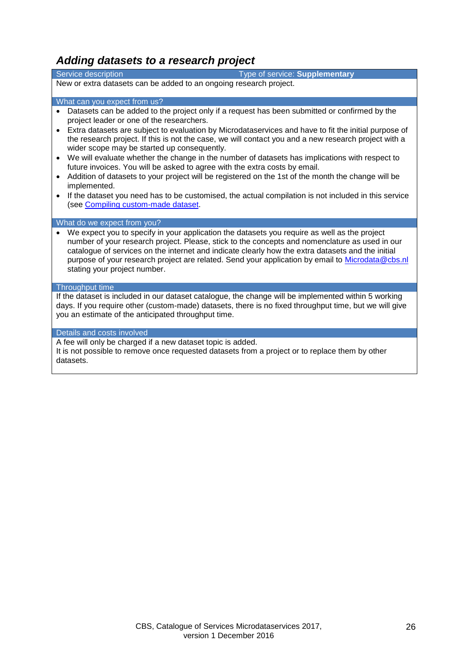### <span id="page-26-0"></span>*Adding datasets to a research project*

| Service description                                                                                                                                                                                                                                                   | Type of service: Supplementary                                                                                                                                                                               |
|-----------------------------------------------------------------------------------------------------------------------------------------------------------------------------------------------------------------------------------------------------------------------|--------------------------------------------------------------------------------------------------------------------------------------------------------------------------------------------------------------|
| New or extra datasets can be added to an ongoing research project.                                                                                                                                                                                                    |                                                                                                                                                                                                              |
|                                                                                                                                                                                                                                                                       |                                                                                                                                                                                                              |
| What can you expect from us?                                                                                                                                                                                                                                          |                                                                                                                                                                                                              |
| Datasets can be added to the project only if a request has been submitted or confirmed by the<br>$\bullet$<br>project leader or one of the researchers.                                                                                                               |                                                                                                                                                                                                              |
| $\bullet$<br>wider scope may be started up consequently.                                                                                                                                                                                                              | Extra datasets are subject to evaluation by Microdataservices and have to fit the initial purpose of<br>the research project. If this is not the case, we will contact you and a new research project with a |
| We will evaluate whether the change in the number of datasets has implications with respect to<br>$\bullet$<br>future invoices. You will be asked to agree with the extra costs by email.                                                                             |                                                                                                                                                                                                              |
| Addition of datasets to your project will be registered on the 1st of the month the change will be<br>$\bullet$<br>implemented.                                                                                                                                       |                                                                                                                                                                                                              |
| $\bullet$<br>(see Compiling custom-made dataset.                                                                                                                                                                                                                      | If the dataset you need has to be customised, the actual compilation is not included in this service                                                                                                         |
| What do we expect from you?                                                                                                                                                                                                                                           |                                                                                                                                                                                                              |
| We expect you to specify in your application the datasets you require as well as the project<br>$\bullet$<br>catalogue of services on the internet and indicate clearly how the extra datasets and the initial<br>stating your project number.                        | number of your research project. Please, stick to the concepts and nomenclature as used in our<br>purpose of your research project are related. Send your application by email to Microdata@cbs.nl           |
| Throughput time                                                                                                                                                                                                                                                       |                                                                                                                                                                                                              |
| If the dataset is included in our dataset catalogue, the change will be implemented within 5 working<br>days. If you require other (custom-made) datasets, there is no fixed throughput time, but we will give<br>you an estimate of the anticipated throughput time. |                                                                                                                                                                                                              |
| Details and costs involved                                                                                                                                                                                                                                            |                                                                                                                                                                                                              |

A fee will only be charged if a new dataset topic is added. It is not possible to remove once requested datasets from a project or to replace them by other datasets.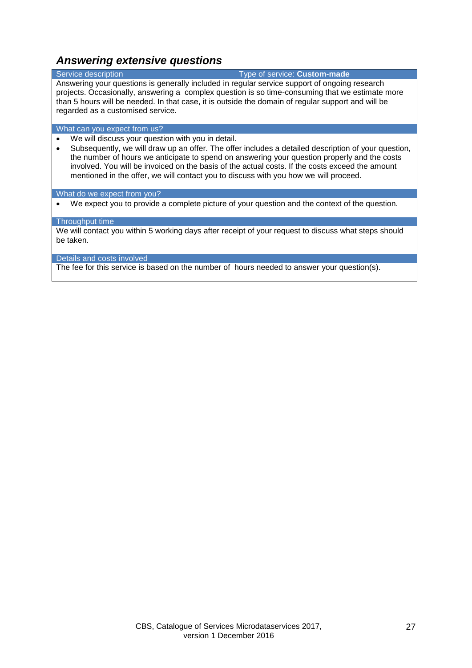### <span id="page-27-0"></span>*Answering extensive questions*

| Service description                                                                                                                                                                                                                                                                                                                                                                                                                                              | Type of service: Custom-made |
|------------------------------------------------------------------------------------------------------------------------------------------------------------------------------------------------------------------------------------------------------------------------------------------------------------------------------------------------------------------------------------------------------------------------------------------------------------------|------------------------------|
| Answering your questions is generally included in regular service support of ongoing research<br>projects. Occasionally, answering a complex question is so time-consuming that we estimate more<br>than 5 hours will be needed. In that case, it is outside the domain of regular support and will be<br>regarded as a customised service.                                                                                                                      |                              |
| What can you expect from us?                                                                                                                                                                                                                                                                                                                                                                                                                                     |                              |
| We will discuss your question with you in detail.<br>$\bullet$<br>Subsequently, we will draw up an offer. The offer includes a detailed description of your question,<br>the number of hours we anticipate to spend on answering your question properly and the costs<br>involved. You will be invoiced on the basis of the actual costs. If the costs exceed the amount<br>mentioned in the offer, we will contact you to discuss with you how we will proceed. |                              |
| What do we expect from you?                                                                                                                                                                                                                                                                                                                                                                                                                                      |                              |
| We expect you to provide a complete picture of your question and the context of the question.                                                                                                                                                                                                                                                                                                                                                                    |                              |
| Throughput time                                                                                                                                                                                                                                                                                                                                                                                                                                                  |                              |
| We will contact you within 5 working days after receipt of your request to discuss what steps should<br>be taken.                                                                                                                                                                                                                                                                                                                                                |                              |
| Details and costs involved                                                                                                                                                                                                                                                                                                                                                                                                                                       |                              |
| The fee for this service is based on the number of hours needed to answer your question(s).                                                                                                                                                                                                                                                                                                                                                                      |                              |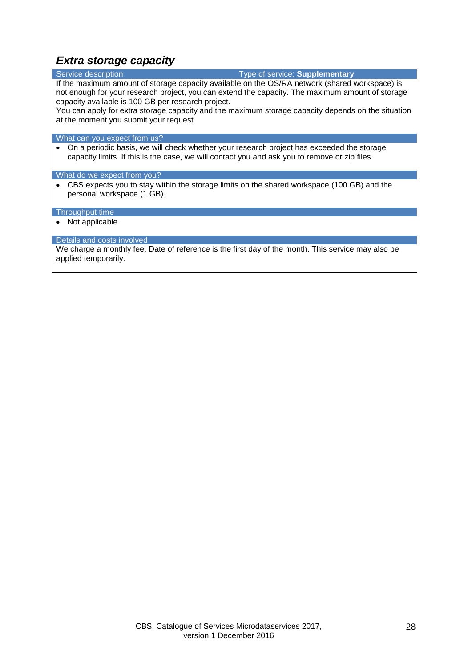### <span id="page-28-0"></span>*Extra storage capacity*

| Service description<br>Type of service: Supplementary                                                                                                                                                                                                                                                                                                                                                    |  |
|----------------------------------------------------------------------------------------------------------------------------------------------------------------------------------------------------------------------------------------------------------------------------------------------------------------------------------------------------------------------------------------------------------|--|
| If the maximum amount of storage capacity available on the OS/RA network (shared workspace) is<br>not enough for your research project, you can extend the capacity. The maximum amount of storage<br>capacity available is 100 GB per research project.<br>You can apply for extra storage capacity and the maximum storage capacity depends on the situation<br>at the moment you submit your request. |  |
| What can you expect from us?                                                                                                                                                                                                                                                                                                                                                                             |  |
| On a periodic basis, we will check whether your research project has exceeded the storage<br>capacity limits. If this is the case, we will contact you and ask you to remove or zip files.                                                                                                                                                                                                               |  |
| What do we expect from you?                                                                                                                                                                                                                                                                                                                                                                              |  |
| CBS expects you to stay within the storage limits on the shared workspace (100 GB) and the<br>personal workspace (1 GB).                                                                                                                                                                                                                                                                                 |  |
| Throughput time                                                                                                                                                                                                                                                                                                                                                                                          |  |
| Not applicable.                                                                                                                                                                                                                                                                                                                                                                                          |  |
| Details and costs involved                                                                                                                                                                                                                                                                                                                                                                               |  |
| We charge a monthly fee. Date of reference is the first day of the month. This service may also be<br>applied temporarily.                                                                                                                                                                                                                                                                               |  |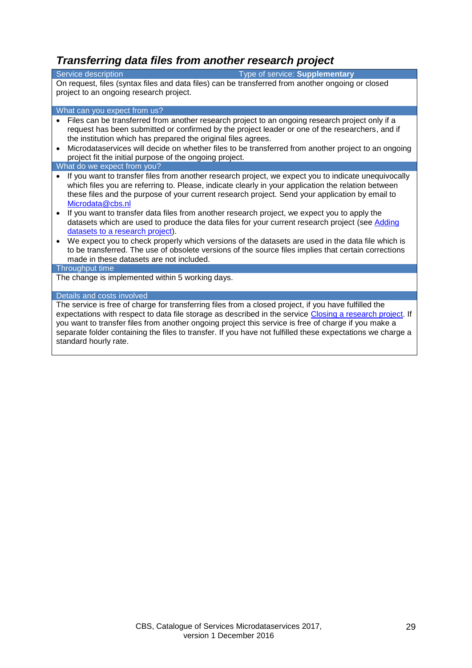### <span id="page-29-0"></span>*Transferring data files from another research project*

| Service description                                           | Type of service: Supplementary                                                                                                                                                                                                                                                                                                                                                                                                           |
|---------------------------------------------------------------|------------------------------------------------------------------------------------------------------------------------------------------------------------------------------------------------------------------------------------------------------------------------------------------------------------------------------------------------------------------------------------------------------------------------------------------|
|                                                               | On request, files (syntax files and data files) can be transferred from another ongoing or closed                                                                                                                                                                                                                                                                                                                                        |
| project to an ongoing research project.                       |                                                                                                                                                                                                                                                                                                                                                                                                                                          |
|                                                               |                                                                                                                                                                                                                                                                                                                                                                                                                                          |
| What can you expect from us?                                  |                                                                                                                                                                                                                                                                                                                                                                                                                                          |
| the institution which has prepared the original files agrees. | Files can be transferred from another research project to an ongoing research project only if a<br>request has been submitted or confirmed by the project leader or one of the researchers, and if                                                                                                                                                                                                                                       |
| project fit the initial purpose of the ongoing project.       | Microdataservices will decide on whether files to be transferred from another project to an ongoing                                                                                                                                                                                                                                                                                                                                      |
| What do we expect from you?                                   |                                                                                                                                                                                                                                                                                                                                                                                                                                          |
| $\bullet$<br>Microdata@cbs.nl                                 | If you want to transfer files from another research project, we expect you to indicate unequivocally<br>which files you are referring to. Please, indicate clearly in your application the relation between<br>these files and the purpose of your current research project. Send your application by email to                                                                                                                           |
| $\bullet$<br>datasets to a research project).                 | If you want to transfer data files from another research project, we expect you to apply the<br>datasets which are used to produce the data files for your current research project (see Adding                                                                                                                                                                                                                                          |
| made in these datasets are not included.                      | We expect you to check properly which versions of the datasets are used in the data file which is<br>to be transferred. The use of obsolete versions of the source files implies that certain corrections                                                                                                                                                                                                                                |
| Throughput time                                               |                                                                                                                                                                                                                                                                                                                                                                                                                                          |
| The change is implemented within 5 working days.              |                                                                                                                                                                                                                                                                                                                                                                                                                                          |
| Details and costs involved                                    |                                                                                                                                                                                                                                                                                                                                                                                                                                          |
| standard hourly rate.                                         | The service is free of charge for transferring files from a closed project, if you have fulfilled the<br>expectations with respect to data file storage as described in the service Closing a research project. If<br>you want to transfer files from another ongoing project this service is free of charge if you make a<br>separate folder containing the files to transfer. If you have not fulfilled these expectations we charge a |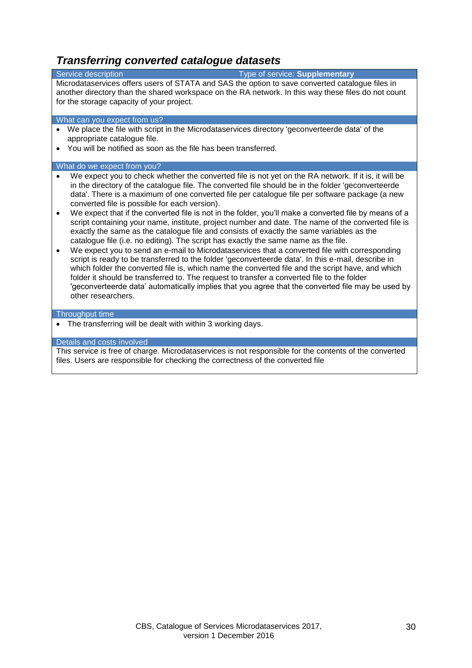### <span id="page-30-0"></span>*Transferring converted catalogue datasets*

| Type of service: Supplementary<br>Service description                                                                                                                                                                                                                                                                                                                                                                                                                                                                                                                                                                                                                                                                                                                                                                                                                                                                                                                                                                                                                                                                                                                                                                                                                                                   |  |
|---------------------------------------------------------------------------------------------------------------------------------------------------------------------------------------------------------------------------------------------------------------------------------------------------------------------------------------------------------------------------------------------------------------------------------------------------------------------------------------------------------------------------------------------------------------------------------------------------------------------------------------------------------------------------------------------------------------------------------------------------------------------------------------------------------------------------------------------------------------------------------------------------------------------------------------------------------------------------------------------------------------------------------------------------------------------------------------------------------------------------------------------------------------------------------------------------------------------------------------------------------------------------------------------------------|--|
| Microdataservices offers users of STATA and SAS the option to save converted catalogue files in<br>another directory than the shared workspace on the RA network. In this way these files do not count                                                                                                                                                                                                                                                                                                                                                                                                                                                                                                                                                                                                                                                                                                                                                                                                                                                                                                                                                                                                                                                                                                  |  |
| for the storage capacity of your project.                                                                                                                                                                                                                                                                                                                                                                                                                                                                                                                                                                                                                                                                                                                                                                                                                                                                                                                                                                                                                                                                                                                                                                                                                                                               |  |
| What can you expect from us?                                                                                                                                                                                                                                                                                                                                                                                                                                                                                                                                                                                                                                                                                                                                                                                                                                                                                                                                                                                                                                                                                                                                                                                                                                                                            |  |
| We place the file with script in the Microdataservices directory 'geconverteerde data' of the<br>appropriate catalogue file.                                                                                                                                                                                                                                                                                                                                                                                                                                                                                                                                                                                                                                                                                                                                                                                                                                                                                                                                                                                                                                                                                                                                                                            |  |
| You will be notified as soon as the file has been transferred.                                                                                                                                                                                                                                                                                                                                                                                                                                                                                                                                                                                                                                                                                                                                                                                                                                                                                                                                                                                                                                                                                                                                                                                                                                          |  |
| What do we expect from you?                                                                                                                                                                                                                                                                                                                                                                                                                                                                                                                                                                                                                                                                                                                                                                                                                                                                                                                                                                                                                                                                                                                                                                                                                                                                             |  |
| We expect you to check whether the converted file is not yet on the RA network. If it is, it will be<br>in the directory of the catalogue file. The converted file should be in the folder 'geconverteerde<br>data'. There is a maximum of one converted file per catalogue file per software package (a new<br>converted file is possible for each version).<br>We expect that if the converted file is not in the folder, you'll make a converted file by means of a<br>٠<br>script containing your name, institute, project number and date. The name of the converted file is<br>exactly the same as the catalogue file and consists of exactly the same variables as the<br>catalogue file (i.e. no editing). The script has exactly the same name as the file.<br>We expect you to send an e-mail to Microdataservices that a converted file with corresponding<br>script is ready to be transferred to the folder 'geconverteerde data'. In this e-mail, describe in<br>which folder the converted file is, which name the converted file and the script have, and which<br>folder it should be transferred to. The request to transfer a converted file to the folder<br>geconverteerde data' automatically implies that you agree that the converted file may be used by<br>other researchers. |  |
| Throughput time                                                                                                                                                                                                                                                                                                                                                                                                                                                                                                                                                                                                                                                                                                                                                                                                                                                                                                                                                                                                                                                                                                                                                                                                                                                                                         |  |
| The transferring will be dealt with within 3 working days.                                                                                                                                                                                                                                                                                                                                                                                                                                                                                                                                                                                                                                                                                                                                                                                                                                                                                                                                                                                                                                                                                                                                                                                                                                              |  |
| Details and costs involved                                                                                                                                                                                                                                                                                                                                                                                                                                                                                                                                                                                                                                                                                                                                                                                                                                                                                                                                                                                                                                                                                                                                                                                                                                                                              |  |
| This service is free of charge. Microdataservices is not responsible for the contents of the converted<br>files. Users are responsible for checking the correctness of the converted file                                                                                                                                                                                                                                                                                                                                                                                                                                                                                                                                                                                                                                                                                                                                                                                                                                                                                                                                                                                                                                                                                                               |  |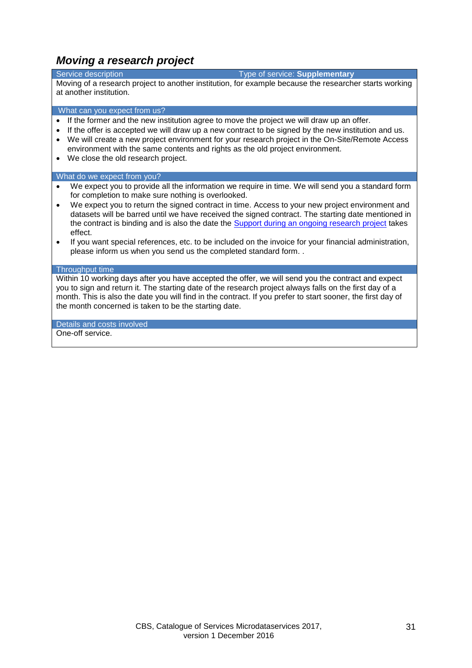#### <span id="page-31-0"></span>*Moving a research project*

Service description Type of service: **Supplementary**

Moving of a research project to another institution, for example because the researcher starts working at another institution.

#### What can you expect from us?

- If the former and the new institution agree to move the project we will draw up an offer.
- If the offer is accepted we will draw up a new contract to be signed by the new institution and us. We will create a new project environment for your research project in the On-Site/Remote Access
- environment with the same contents and rights as the old project environment.
- We close the old research project.

#### What do we expect from you?

- We expect you to provide all the information we require in time. We will send you a standard form for completion to make sure nothing is overlooked.
- We expect you to return the signed contract in time. Access to your new project environment and datasets will be barred until we have received the signed contract. The starting date mentioned in the contract is binding and is also the date the [Support during an ongoing research project](#page-22-1) takes effect.
- If you want special references, etc. to be included on the invoice for your financial administration, please inform us when you send us the completed standard form. .

#### Throughput time

Within 10 working days after you have accepted the offer, we will send you the contract and expect you to sign and return it. The starting date of the research project always falls on the first day of a month. This is also the date you will find in the contract. If you prefer to start sooner, the first day of the month concerned is taken to be the starting date.

Details and costs involved One-off service.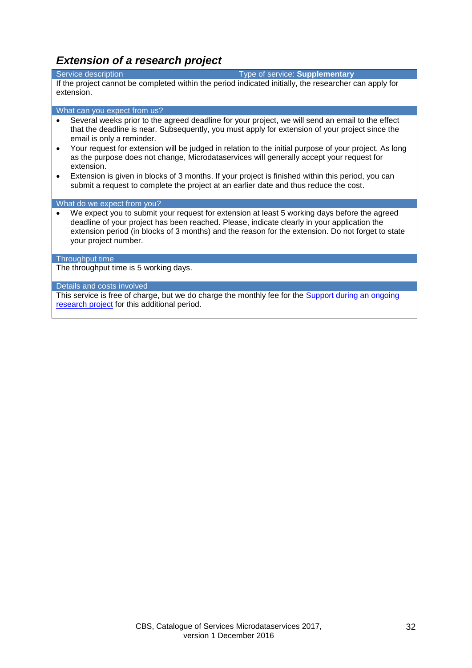### <span id="page-32-0"></span>*Extension of a research project*

| Service description                                                                                | Type of service: Supplementary                                                                                                                                                                                                                                                                                                                                                                           |
|----------------------------------------------------------------------------------------------------|----------------------------------------------------------------------------------------------------------------------------------------------------------------------------------------------------------------------------------------------------------------------------------------------------------------------------------------------------------------------------------------------------------|
| extension.                                                                                         | If the project cannot be completed within the period indicated initially, the researcher can apply for                                                                                                                                                                                                                                                                                                   |
| What can you expect from us?                                                                       |                                                                                                                                                                                                                                                                                                                                                                                                          |
| email is only a reminder.<br>$\bullet$<br>extension.                                               | Several weeks prior to the agreed deadline for your project, we will send an email to the effect<br>that the deadline is near. Subsequently, you must apply for extension of your project since the<br>Your request for extension will be judged in relation to the initial purpose of your project. As long<br>as the purpose does not change, Microdataservices will generally accept your request for |
| $\bullet$<br>submit a request to complete the project at an earlier date and thus reduce the cost. | Extension is given in blocks of 3 months. If your project is finished within this period, you can                                                                                                                                                                                                                                                                                                        |
| What do we expect from you?                                                                        |                                                                                                                                                                                                                                                                                                                                                                                                          |
| your project number.                                                                               | We expect you to submit your request for extension at least 5 working days before the agreed<br>deadline of your project has been reached. Please, indicate clearly in your application the<br>extension period (in blocks of 3 months) and the reason for the extension. Do not forget to state                                                                                                         |
| Throughput time                                                                                    |                                                                                                                                                                                                                                                                                                                                                                                                          |
| The throughput time is 5 working days.                                                             |                                                                                                                                                                                                                                                                                                                                                                                                          |
| Details and costs involved                                                                         |                                                                                                                                                                                                                                                                                                                                                                                                          |
| research project for this additional period.                                                       | This service is free of charge, but we do charge the monthly fee for the <b>Support during an ongoing</b>                                                                                                                                                                                                                                                                                                |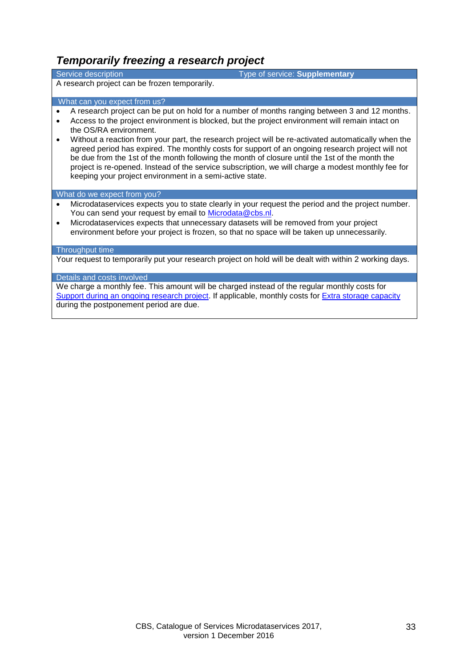#### <span id="page-33-0"></span>*[Temporarily freezing](#page-33-0) a research project*

Service description Type of service: **Supplementary** A research project can be frozen temporarily. What can you expect from us? A research project can be put on hold for a number of months ranging between 3 and 12 months. Access to the project environment is blocked, but the project environment will remain intact on the OS/RA environment.

 Without a reaction from your part, the research project will be re-activated automatically when the agreed period has expired. The monthly costs for support of an ongoing research project will not be due from the 1st of the month following the month of closure until the 1st of the month the project is re-opened. Instead of the service subscription, we will charge a modest monthly fee for keeping your project environment in a semi-active state.

What do we expect from you?

- Microdataservices expects you to state clearly in your request the period and the project number. You can send your request by email to [Microdata@cbs.nl.](mailto:cvb@cbs.nl)
- Microdataservices expects that unnecessary datasets will be removed from your project environment before your project is frozen, so that no space will be taken up unnecessarily.

#### Throughput time

Your request to temporarily put your research project on hold will be dealt with within 2 working days.

Details and costs involved

We charge a monthly fee. This amount will be charged instead of the regular monthly costs for Support during [an ongoing research project.](#page-22-1) If applicable, monthly costs for [Extra storage capacity](#page-28-0) during the postponement period are due.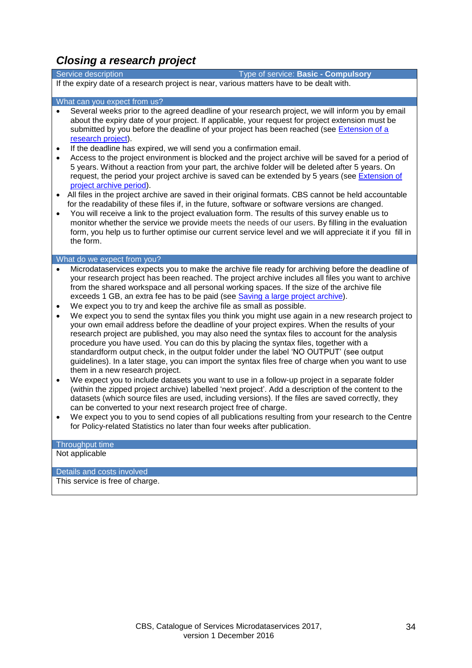### <span id="page-34-0"></span>*Closing a research project*

| Type of service: Basic - Compulsory<br>Service description                                                                                                                                                                                                                                                                                                                                                                                                                                                                                                                                                                                                                                                                                                                                                                                                                                                                                                                                                                                                                                                                                                                                                                                                                                                                                                                                                                                                                                                                                                                                                                                                                                                                         |  |
|------------------------------------------------------------------------------------------------------------------------------------------------------------------------------------------------------------------------------------------------------------------------------------------------------------------------------------------------------------------------------------------------------------------------------------------------------------------------------------------------------------------------------------------------------------------------------------------------------------------------------------------------------------------------------------------------------------------------------------------------------------------------------------------------------------------------------------------------------------------------------------------------------------------------------------------------------------------------------------------------------------------------------------------------------------------------------------------------------------------------------------------------------------------------------------------------------------------------------------------------------------------------------------------------------------------------------------------------------------------------------------------------------------------------------------------------------------------------------------------------------------------------------------------------------------------------------------------------------------------------------------------------------------------------------------------------------------------------------------|--|
| If the expiry date of a research project is near, various matters have to be dealt with.                                                                                                                                                                                                                                                                                                                                                                                                                                                                                                                                                                                                                                                                                                                                                                                                                                                                                                                                                                                                                                                                                                                                                                                                                                                                                                                                                                                                                                                                                                                                                                                                                                           |  |
| What can you expect from us?                                                                                                                                                                                                                                                                                                                                                                                                                                                                                                                                                                                                                                                                                                                                                                                                                                                                                                                                                                                                                                                                                                                                                                                                                                                                                                                                                                                                                                                                                                                                                                                                                                                                                                       |  |
| Several weeks prior to the agreed deadline of your research project, we will inform you by email<br>about the expiry date of your project. If applicable, your request for project extension must be<br>submitted by you before the deadline of your project has been reached (see Extension of a<br>research project).<br>If the deadline has expired, we will send you a confirmation email.<br>Access to the project environment is blocked and the project archive will be saved for a period of<br>$\bullet$<br>5 years. Without a reaction from your part, the archive folder will be deleted after 5 years. On<br>request, the period your project archive is saved can be extended by 5 years (see Extension of<br>project archive period).<br>All files in the project archive are saved in their original formats. CBS cannot be held accountable<br>$\bullet$<br>for the readability of these files if, in the future, software or software versions are changed.<br>You will receive a link to the project evaluation form. The results of this survey enable us to<br>$\bullet$<br>monitor whether the service we provide meets the needs of our users. By filling in the evaluation<br>form, you help us to further optimise our current service level and we will appreciate it if you fill in<br>the form.                                                                                                                                                                                                                                                                                                                                                                                                         |  |
| What do we expect from you?                                                                                                                                                                                                                                                                                                                                                                                                                                                                                                                                                                                                                                                                                                                                                                                                                                                                                                                                                                                                                                                                                                                                                                                                                                                                                                                                                                                                                                                                                                                                                                                                                                                                                                        |  |
| Microdataservices expects you to make the archive file ready for archiving before the deadline of<br>your research project has been reached. The project archive includes all files you want to archive<br>from the shared workspace and all personal working spaces. If the size of the archive file<br>exceeds 1 GB, an extra fee has to be paid (see Saving a large project archive).<br>We expect you to try and keep the archive file as small as possible.<br>We expect you to send the syntax files you think you might use again in a new research project to<br>$\bullet$<br>your own email address before the deadline of your project expires. When the results of your<br>research project are published, you may also need the syntax files to account for the analysis<br>procedure you have used. You can do this by placing the syntax files, together with a<br>standardform output check, in the output folder under the label 'NO OUTPUT' (see output<br>guidelines). In a later stage, you can import the syntax files free of charge when you want to use<br>them in a new research project.<br>We expect you to include datasets you want to use in a follow-up project in a separate folder<br>$\bullet$<br>(within the zipped project archive) labelled 'next project'. Add a description of the content to the<br>datasets (which source files are used, including versions). If the files are saved correctly, they<br>can be converted to your next research project free of charge.<br>We expect you to you to send copies of all publications resulting from your research to the Centre<br>$\bullet$<br>for Policy-related Statistics no later than four weeks after publication.<br>Throughput time |  |
| Not applicable                                                                                                                                                                                                                                                                                                                                                                                                                                                                                                                                                                                                                                                                                                                                                                                                                                                                                                                                                                                                                                                                                                                                                                                                                                                                                                                                                                                                                                                                                                                                                                                                                                                                                                                     |  |

#### Not applicable

#### Details and costs involved

This service is free of charge.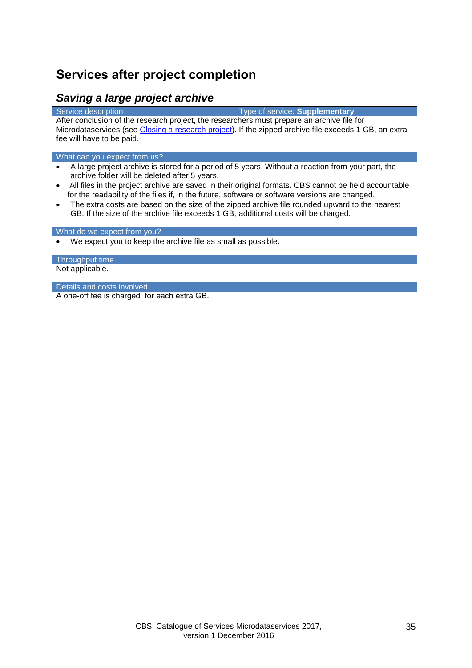## <span id="page-35-0"></span>**Services after project completion**

### <span id="page-35-1"></span>*[Saving a large project archive](#page-35-0)*

| Service description                                                                                                                                                                                                                                                                                                                                                                                                                                                                                                                                                                          | Type of service: Supplementary |
|----------------------------------------------------------------------------------------------------------------------------------------------------------------------------------------------------------------------------------------------------------------------------------------------------------------------------------------------------------------------------------------------------------------------------------------------------------------------------------------------------------------------------------------------------------------------------------------------|--------------------------------|
| After conclusion of the research project, the researchers must prepare an archive file for<br>Microdataservices (see Closing a research project). If the zipped archive file exceeds 1 GB, an extra<br>fee will have to be paid.                                                                                                                                                                                                                                                                                                                                                             |                                |
| What can you expect from us?                                                                                                                                                                                                                                                                                                                                                                                                                                                                                                                                                                 |                                |
| A large project archive is stored for a period of 5 years. Without a reaction from your part, the<br>$\bullet$<br>archive folder will be deleted after 5 years.<br>All files in the project archive are saved in their original formats. CBS cannot be held accountable<br>$\bullet$<br>for the readability of the files if, in the future, software or software versions are changed.<br>The extra costs are based on the size of the zipped archive file rounded upward to the nearest<br>$\bullet$<br>GB. If the size of the archive file exceeds 1 GB, additional costs will be charged. |                                |
| What do we expect from you?                                                                                                                                                                                                                                                                                                                                                                                                                                                                                                                                                                  |                                |
| We expect you to keep the archive file as small as possible.                                                                                                                                                                                                                                                                                                                                                                                                                                                                                                                                 |                                |
| Throughput time                                                                                                                                                                                                                                                                                                                                                                                                                                                                                                                                                                              |                                |
| Not applicable.                                                                                                                                                                                                                                                                                                                                                                                                                                                                                                                                                                              |                                |
| Details and costs involved                                                                                                                                                                                                                                                                                                                                                                                                                                                                                                                                                                   |                                |
| A one-off fee is charged for each extra GB.                                                                                                                                                                                                                                                                                                                                                                                                                                                                                                                                                  |                                |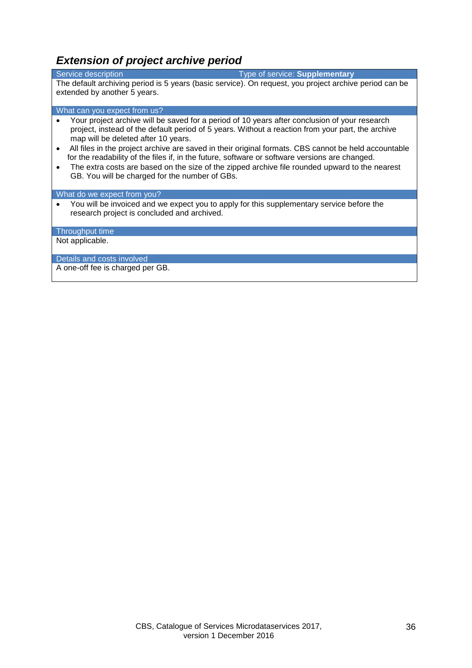### <span id="page-36-0"></span>*[Extension of project archive period](#page-36-0)*

| Service description<br>Type of service: Supplementary                                                                                                                                                                                     |  |
|-------------------------------------------------------------------------------------------------------------------------------------------------------------------------------------------------------------------------------------------|--|
| The default archiving period is 5 years (basic service). On request, you project archive period can be                                                                                                                                    |  |
| extended by another 5 years.                                                                                                                                                                                                              |  |
|                                                                                                                                                                                                                                           |  |
| What can you expect from us?                                                                                                                                                                                                              |  |
| Your project archive will be saved for a period of 10 years after conclusion of your research<br>project, instead of the default period of 5 years. Without a reaction from your part, the archive<br>map will be deleted after 10 years. |  |
| All files in the project archive are saved in their original formats. CBS cannot be held accountable<br>$\bullet$<br>for the readability of the files if, in the future, software or software versions are changed.                       |  |
| The extra costs are based on the size of the zipped archive file rounded upward to the nearest<br>$\bullet$<br>GB. You will be charged for the number of GBs.                                                                             |  |
| What do we expect from you?                                                                                                                                                                                                               |  |
| You will be invoiced and we expect you to apply for this supplementary service before the<br>$\bullet$<br>research project is concluded and archived.                                                                                     |  |
| Throughput time                                                                                                                                                                                                                           |  |
| Not applicable.                                                                                                                                                                                                                           |  |
| Details and costs involved                                                                                                                                                                                                                |  |
| A one-off fee is charged per GB.                                                                                                                                                                                                          |  |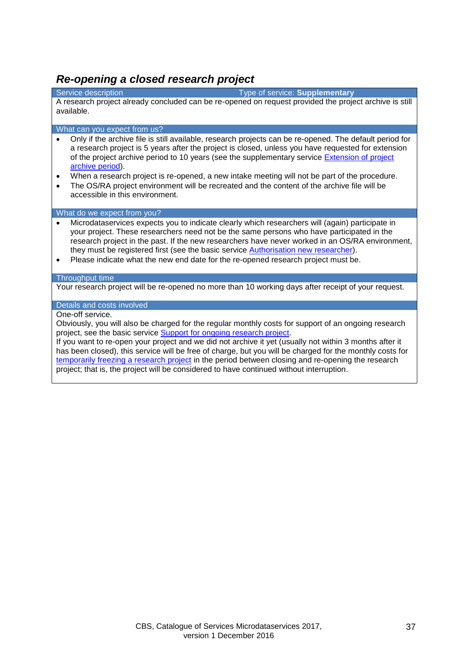### <span id="page-37-0"></span>*Re-opening a closed research project*

| Service description                                                                                                                                                                                                                                                                                                                                                                                                                                                                                                                                                                                          | Type of service: Supplementary                                                                                                                                                                                |
|--------------------------------------------------------------------------------------------------------------------------------------------------------------------------------------------------------------------------------------------------------------------------------------------------------------------------------------------------------------------------------------------------------------------------------------------------------------------------------------------------------------------------------------------------------------------------------------------------------------|---------------------------------------------------------------------------------------------------------------------------------------------------------------------------------------------------------------|
| A research project already concluded can be re-opened on request provided the project archive is still<br>available.                                                                                                                                                                                                                                                                                                                                                                                                                                                                                         |                                                                                                                                                                                                               |
| What can you expect from us?                                                                                                                                                                                                                                                                                                                                                                                                                                                                                                                                                                                 |                                                                                                                                                                                                               |
| of the project archive period to 10 years (see the supplementary service Extension of project<br>archive period).<br>When a research project is re-opened, a new intake meeting will not be part of the procedure.<br>$\bullet$<br>The OS/RA project environment will be recreated and the content of the archive file will be<br>$\bullet$<br>accessible in this environment.                                                                                                                                                                                                                               | Only if the archive file is still available, research projects can be re-opened. The default period for<br>a research project is 5 years after the project is closed, unless you have requested for extension |
| What do we expect from you?                                                                                                                                                                                                                                                                                                                                                                                                                                                                                                                                                                                  |                                                                                                                                                                                                               |
| Microdataservices expects you to indicate clearly which researchers will (again) participate in<br>your project. These researchers need not be the same persons who have participated in the<br>they must be registered first (see the basic service <b>Authorisation new researcher</b> ).<br>Please indicate what the new end date for the re-opened research project must be.<br>$\bullet$                                                                                                                                                                                                                | research project in the past. If the new researchers have never worked in an OS/RA environment,                                                                                                               |
| Throughput time                                                                                                                                                                                                                                                                                                                                                                                                                                                                                                                                                                                              |                                                                                                                                                                                                               |
| Your research project will be re-opened no more than 10 working days after receipt of your request.                                                                                                                                                                                                                                                                                                                                                                                                                                                                                                          |                                                                                                                                                                                                               |
| Details and costs involved                                                                                                                                                                                                                                                                                                                                                                                                                                                                                                                                                                                   |                                                                                                                                                                                                               |
| One-off service.                                                                                                                                                                                                                                                                                                                                                                                                                                                                                                                                                                                             |                                                                                                                                                                                                               |
| Obviously, you will also be charged for the regular monthly costs for support of an ongoing research<br>project, see the basic service <b>Support for ongoing research project</b> .<br>If you want to re-open your project and we did not archive it yet (usually not within 3 months after it<br>has been closed), this service will be free of charge, but you will be charged for the monthly costs for<br>temporarily freezing a research project in the period between closing and re-opening the research<br>project; that is, the project will be considered to have continued without interruption. |                                                                                                                                                                                                               |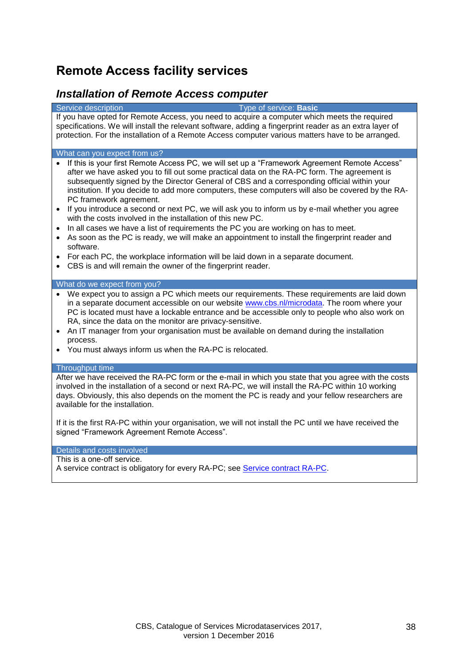### <span id="page-38-0"></span>**Remote Access facility services**

### <span id="page-38-1"></span>*Installation of Remote Access computer*

| Type of service: Basic<br>Service description                                                                                                                                                                                                                                                                                                                                                                                                                                                                                                                                                                                                                                                                                                                                                                                                                                                                                                                   |  |
|-----------------------------------------------------------------------------------------------------------------------------------------------------------------------------------------------------------------------------------------------------------------------------------------------------------------------------------------------------------------------------------------------------------------------------------------------------------------------------------------------------------------------------------------------------------------------------------------------------------------------------------------------------------------------------------------------------------------------------------------------------------------------------------------------------------------------------------------------------------------------------------------------------------------------------------------------------------------|--|
| If you have opted for Remote Access, you need to acquire a computer which meets the required<br>specifications. We will install the relevant software, adding a fingerprint reader as an extra layer of<br>protection. For the installation of a Remote Access computer various matters have to be arranged.                                                                                                                                                                                                                                                                                                                                                                                                                                                                                                                                                                                                                                                    |  |
| What can you expect from us?                                                                                                                                                                                                                                                                                                                                                                                                                                                                                                                                                                                                                                                                                                                                                                                                                                                                                                                                    |  |
| If this is your first Remote Access PC, we will set up a "Framework Agreement Remote Access"<br>after we have asked you to fill out some practical data on the RA-PC form. The agreement is<br>subsequently signed by the Director General of CBS and a corresponding official within your<br>institution. If you decide to add more computers, these computers will also be covered by the RA-<br>PC framework agreement.<br>If you introduce a second or next PC, we will ask you to inform us by e-mail whether you agree<br>$\bullet$<br>with the costs involved in the installation of this new PC.<br>In all cases we have a list of requirements the PC you are working on has to meet.<br>As soon as the PC is ready, we will make an appointment to install the fingerprint reader and<br>software.<br>For each PC, the workplace information will be laid down in a separate document.<br>CBS is and will remain the owner of the fingerprint reader. |  |
| What do we expect from you?                                                                                                                                                                                                                                                                                                                                                                                                                                                                                                                                                                                                                                                                                                                                                                                                                                                                                                                                     |  |
| We expect you to assign a PC which meets our requirements. These requirements are laid down<br>in a separate document accessible on our website www.cbs.nl/microdata. The room where your<br>PC is located must have a lockable entrance and be accessible only to people who also work on<br>RA, since the data on the monitor are privacy-sensitive.<br>An IT manager from your organisation must be available on demand during the installation<br>$\bullet$<br>process.<br>You must always inform us when the RA-PC is relocated.                                                                                                                                                                                                                                                                                                                                                                                                                           |  |
| Throughput time                                                                                                                                                                                                                                                                                                                                                                                                                                                                                                                                                                                                                                                                                                                                                                                                                                                                                                                                                 |  |
| After we have received the RA-PC form or the e-mail in which you state that you agree with the costs<br>involved in the installation of a second or next RA-PC, we will install the RA-PC within 10 working<br>days. Obviously, this also depends on the moment the PC is ready and your fellow researchers are<br>available for the installation.                                                                                                                                                                                                                                                                                                                                                                                                                                                                                                                                                                                                              |  |
| If it is the first RA-PC within your organisation, we will not install the PC until we have received the<br>signed "Framework Agreement Remote Access".                                                                                                                                                                                                                                                                                                                                                                                                                                                                                                                                                                                                                                                                                                                                                                                                         |  |

#### Details and costs involved

This is a one-off service.

A service contract is obligatory for every RA-PC; see [Service contract RA-PC.](#page-39-0)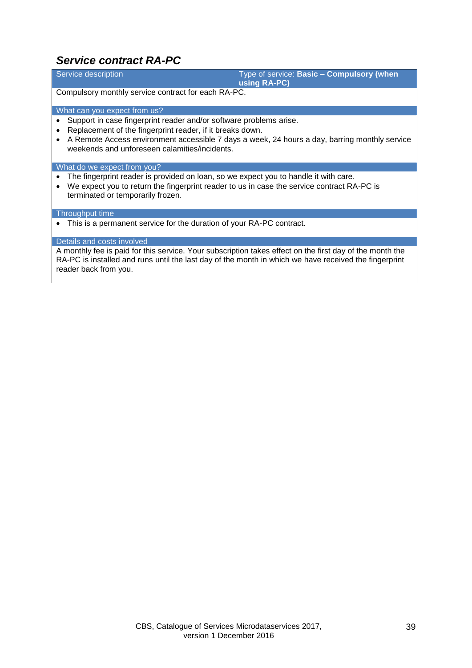#### <span id="page-39-0"></span>*Service contract RA-PC*

| Service description                                 | Type of service: <b>Basic – Compulsory (when</b> )<br>using RA-PC) |
|-----------------------------------------------------|--------------------------------------------------------------------|
| Compulsory monthly service contract for each RA-PC. |                                                                    |

#### What can you expect from us?

- Support in case fingerprint reader and/or software problems arise.
- Replacement of the fingerprint reader, if it breaks down.
- A Remote Access environment accessible 7 days a week, 24 hours a day, barring monthly service weekends and unforeseen calamities/incidents.

What do we expect from you?

- The fingerprint reader is provided on loan, so we expect you to handle it with care.
- We expect you to return the fingerprint reader to us in case the service contract RA-PC is terminated or temporarily frozen.

#### Throughput time

This is a permanent service for the duration of your RA-PC contract.

#### Details and costs involved

A monthly fee is paid for this service. Your subscription takes effect on the first day of the month the RA-PC is installed and runs until the last day of the month in which we have received the fingerprint reader back from you.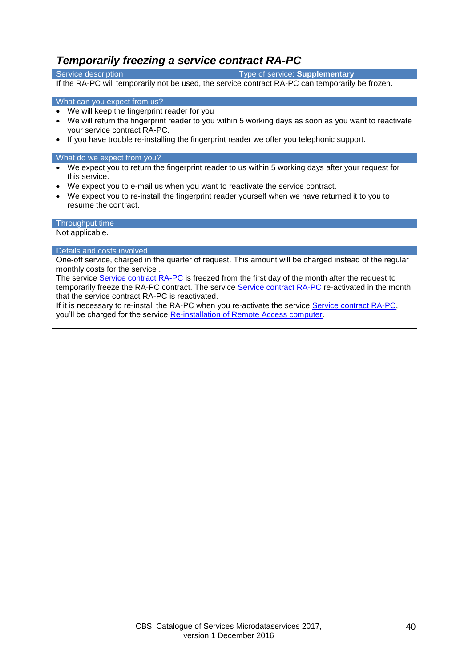### <span id="page-40-0"></span>*Temporarily freezing a service contract RA-PC*

| Service description                                                                                                                                                                                                                                          | Type of service: Supplementary                                                                       |
|--------------------------------------------------------------------------------------------------------------------------------------------------------------------------------------------------------------------------------------------------------------|------------------------------------------------------------------------------------------------------|
| If the RA-PC will temporarily not be used, the service contract RA-PC can temporarily be frozen.                                                                                                                                                             |                                                                                                      |
| What can you expect from us?                                                                                                                                                                                                                                 |                                                                                                      |
| We will keep the fingerprint reader for you<br>$\bullet$                                                                                                                                                                                                     |                                                                                                      |
| $\bullet$<br>your service contract RA-PC.                                                                                                                                                                                                                    | We will return the fingerprint reader to you within 5 working days as soon as you want to reactivate |
| • If you have trouble re-installing the fingerprint reader we offer you telephonic support.                                                                                                                                                                  |                                                                                                      |
| What do we expect from you?                                                                                                                                                                                                                                  |                                                                                                      |
| • We expect you to return the fingerprint reader to us within 5 working days after your request for<br>this service.                                                                                                                                         |                                                                                                      |
| We expect you to e-mail us when you want to reactivate the service contract.<br>$\bullet$                                                                                                                                                                    |                                                                                                      |
| We expect you to re-install the fingerprint reader yourself when we have returned it to you to<br>$\bullet$<br>resume the contract.                                                                                                                          |                                                                                                      |
| Throughput time                                                                                                                                                                                                                                              |                                                                                                      |
| Not applicable.                                                                                                                                                                                                                                              |                                                                                                      |
| Details and costs involved                                                                                                                                                                                                                                   |                                                                                                      |
| One-off service, charged in the quarter of request. This amount will be charged instead of the regular                                                                                                                                                       |                                                                                                      |
| monthly costs for the service.                                                                                                                                                                                                                               |                                                                                                      |
| The service Service contract RA-PC is freezed from the first day of the month after the request to<br>temporarily freeze the RA-PC contract. The service Service contract RA-PC re-activated in the month<br>that the service contract RA-PC is reactivated. |                                                                                                      |
| If it is necessary to re-install the RA-PC when you re-activate the service Service contract RA-PC,<br>you'll be charged for the service Re-installation of Remote Access computer.                                                                          |                                                                                                      |
|                                                                                                                                                                                                                                                              |                                                                                                      |